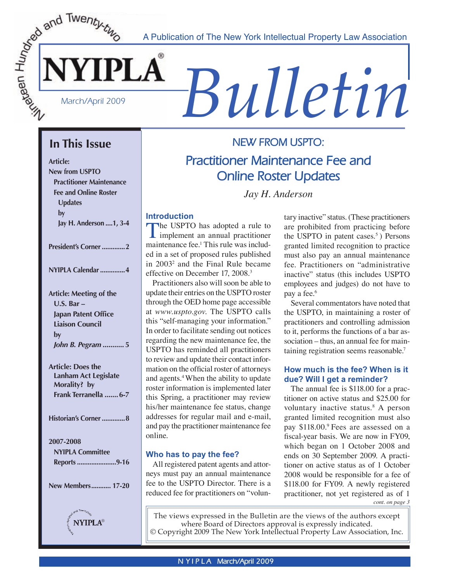A Publication of The New York Intellectual Property Law Association



# *S* A Publication of The New York Intellectual Property Law Association

# **In This Issue**

**Article: New from USPTO Practitioner Maintenance Fee and Online Roster Updates by Jay H. Anderson ....1, 3-4**

**President's Corner .............2 NYIPLA Calendar ..............4 Article: Meeting of the U.S. Bar – Japan Patent Office Liaison Council by**  *John B. Pegram* **........... 5 Article: Does the Lanham Act Legislate Morality? by Frank Terranella .......6-7 Historian's Corner .............8 2007-2008 NYIPLA Committee Reports ......................9-16 New Members ........... 17-20 NYIPLA®** 

# **NEW FROM USPTO: Practitioner Maintenance Fee and Online Roster Updates**

*Jay H. Anderson*

# **Introduction**

The USPTO has adopted a rule to<br>
implement an annual practitioner<br>
maintenance fool. This makes include maintenance fee.<sup>1</sup> This rule was included in a set of proposed rules published in 20032 and the Final Rule became effective on December 17, 2008.3

 Practitioners also will soon be able to update their entries on the USPTO roster through the OED home page accessible at *www.uspto.gov*. The USPTO calls this "self-managing your information." In order to facilitate sending out notices regarding the new maintenance fee, the USPTO has reminded all practitioners to review and update their contact information on the official roster of attorneys and agents.4 When the ability to update roster information is implemented later this Spring, a practitioner may review his/her maintenance fee status, change addresses for regular mail and e-mail, and pay the practitioner maintenance fee online.

## **Who has to pay the fee?**

All registered patent agents and attorneys must pay an annual maintenance fee to the USPTO Director. There is a reduced fee for practitioners on "volun-

tary inactive" status. (These practitioners are prohibited from practicing before the USPTO in patent cases. $5$ ) Persons granted limited recognition to practice must also pay an annual maintenance fee. Practitioners on "administrative inactive" status (this includes USPTO employees and judges) do not have to pay a fee.<sup>6</sup>

 Several commentators have noted that the USPTO, in maintaining a roster of practitioners and controlling admission to it, performs the functions of a bar association – thus, an annual fee for maintaining registration seems reasonable.7

## **How much is the fee? When is it due? Will I get a reminder?**

*cont. on page 3* The annual fee is \$118.00 for a practitioner on active status and \$25.00 for voluntary inactive status.8 A person granted limited recognition must also pay \$118.00.9 Fees are assessed on a fiscal-year basis. We are now in FY09, which began on 1 October 2008 and ends on 30 September 2009. A practitioner on active status as of 1 October 2008 would be responsible for a fee of \$118.00 for FY09. A newly registered practitioner, not yet registered as of 1

The views expressed in the Bulletin are the views of the authors except where Board of Directors approval is expressly indicated. © Copyright 2009 The New York Intellectual Property Law Association, Inc.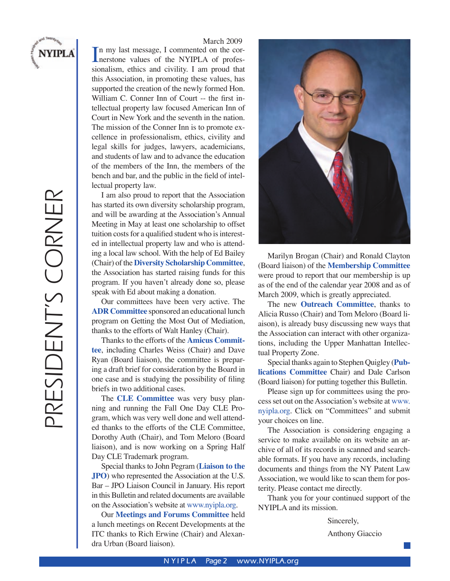

PRESIDENT'S CORNER

PRESIDENT'S CORNER

#### March 2009

In my last message, I commented on the cor-<br>nerstone values of the NYIPLA of profes-<br>signalism at big and simility. I am groud that nerstone values of the NYIPLA of professionalism, ethics and civility. I am proud that this Association, in promoting these values, has supported the creation of the newly formed Hon. William C. Conner Inn of Court -- the first intellectual property law focused American Inn of Court in New York and the seventh in the nation. The mission of the Conner Inn is to promote excellence in professionalism, ethics, civility and legal skills for judges, lawyers, academicians, and students of law and to advance the education of the members of the Inn, the members of the bench and bar, and the public in the field of intellectual property law.

I am also proud to report that the Association has started its own diversity scholarship program, and will be awarding at the Association's Annual Meeting in May at least one scholarship to offset tuition costs for a qualified student who is interested in intellectual property law and who is attending a local law school. With the help of Ed Bailey (Chair) of the **Diversity Scholarship Committee**, the Association has started raising funds for this program. If you haven't already done so, please speak with Ed about making a donation.

 Our committees have been very active. The **ADR Committee** sponsored an educational lunch program on Getting the Most Out of Mediation, thanks to the efforts of Walt Hanley (Chair).

 Thanks to the efforts of the **Amicus Committee**, including Charles Weiss (Chair) and Dave Ryan (Board liaison), the committee is preparing a draft brief for consideration by the Board in one case and is studying the possibility of filing briefs in two additional cases.

 The **CLE Committee** was very busy planning and running the Fall One Day CLE Program, which was very well done and well attended thanks to the efforts of the CLE Committee, Dorothy Auth (Chair), and Tom Meloro (Board liaison), and is now working on a Spring Half Day CLE Trademark program.

 Special thanks to John Pegram (**Liaison to the JPO**) who represented the Association at the U.S. Bar – JPO Liaison Council in January. His report in this Bulletin and related documents are available on the Association's website at www.nyipla.org.

Our **Meetings and Forums Committee** held a lunch meetings on Recent Developments at the ITC thanks to Rich Erwine (Chair) and Alexandra Urban (Board liaison).



 Marilyn Brogan (Chair) and Ronald Clayton (Board liaison) of the **Membership Committee** were proud to report that our membership is up as of the end of the calendar year 2008 and as of March 2009, which is greatly appreciated.

 The new **Outreach Committee**, thanks to Alicia Russo (Chair) and Tom Meloro (Board liaison), is already busy discussing new ways that the Association can interact with other organizations, including the Upper Manhattan Intellectual Property Zone.

 Special thanks again to Stephen Quigley (**Publications Committee** Chair) and Dale Carlson (Board liaison) for putting together this Bulletin.

 Please sign up for committees using the process set out on the Association's website at www. nyipla.org. Click on "Committees" and submit your choices on line.

 The Association is considering engaging a service to make available on its website an archive of all of its records in scanned and searchable formats. If you have any records, including documents and things from the NY Patent Law Association, we would like to scan them for posterity. Please contact me directly.

 Thank you for your continued support of the NYIPLA and its mission.

Sincerely,

Anthony Giaccio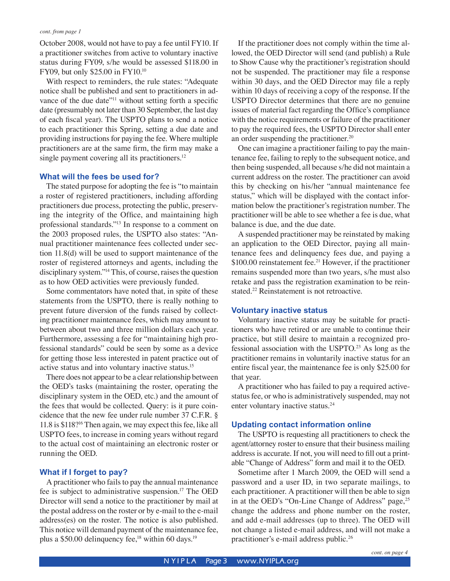October 2008, would not have to pay a fee until FY10. If a practitioner switches from active to voluntary inactive status during FY09, s/he would be assessed \$118.00 in FY09, but only \$25.00 in FY10.10

 With respect to reminders, the rule states: "Adequate notice shall be published and sent to practitioners in advance of the due date"<sup>11</sup> without setting forth a specific date (presumably not later than 30 September, the last day of each fiscal year). The USPTO plans to send a notice to each practitioner this Spring, setting a due date and providing instructions for paying the fee. Where multiple practitioners are at the same firm, the firm may make a single payment covering all its practitioners.<sup>12</sup>

#### **What will the fees be used for?**

 The stated purpose for adopting the fee is "to maintain a roster of registered practitioners, including affording practitioners due process, protecting the public, preserving the integrity of the Office, and maintaining high professional standards."13 In response to a comment on the 2003 proposed rules, the USPTO also states: "Annual practitioner maintenance fees collected under section 11.8(d) will be used to support maintenance of the roster of registered attorneys and agents, including the disciplinary system."14 This, of course, raises the question as to how OED activities were previously funded.

 Some commentators have noted that, in spite of these statements from the USPTO, there is really nothing to prevent future diversion of the funds raised by collecting practitioner maintenance fees, which may amount to between about two and three million dollars each year. Furthermore, assessing a fee for "maintaining high professional standards" could be seen by some as a device for getting those less interested in patent practice out of active status and into voluntary inactive status.15

 There does not appear to be a clear relationship between the OED's tasks (maintaining the roster, operating the disciplinary system in the OED, etc.) and the amount of the fees that would be collected. Query: is it pure coincidence that the new fee under rule number 37 C.F.R. § 11.8 is \$118?16 Then again, we may expect this fee, like all USPTO fees, to increase in coming years without regard to the actual cost of maintaining an electronic roster or running the OED.

#### **What if I forget to pay?**

 A practitioner who fails to pay the annual maintenance fee is subject to administrative suspension.17 The OED Director will send a notice to the practitioner by mail at the postal address on the roster or by e-mail to the e-mail address(es) on the roster. The notice is also published. This notice will demand payment of the maintenance fee, plus a \$50.00 delinquency fee,<sup>18</sup> within 60 days.<sup>19</sup>

 If the practitioner does not comply within the time allowed, the OED Director will send (and publish) a Rule to Show Cause why the practitioner's registration should not be suspended. The practitioner may file a response within 30 days, and the OED Director may file a reply within 10 days of receiving a copy of the response. If the USPTO Director determines that there are no genuine issues of material fact regarding the Office's compliance with the notice requirements or failure of the practitioner to pay the required fees, the USPTO Director shall enter an order suspending the practitioner.20

 One can imagine a practitioner failing to pay the maintenance fee, failing to reply to the subsequent notice, and then being suspended, all because s/he did not maintain a current address on the roster. The practitioner can avoid this by checking on his/her "annual maintenance fee status," which will be displayed with the contact information below the practitioner's registration number. The practitioner will be able to see whether a fee is due, what balance is due, and the due date.

 A suspended practitioner may be reinstated by making an application to the OED Director, paying all maintenance fees and delinquency fees due, and paying a \$100.00 reinstatement fee.<sup>21</sup> However, if the practitioner remains suspended more than two years, s/he must also retake and pass the registration examination to be reinstated.22 Reinstatement is not retroactive.

#### **Voluntary inactive status**

 Voluntary inactive status may be suitable for practitioners who have retired or are unable to continue their practice, but still desire to maintain a recognized professional association with the USPTO.23 As long as the practitioner remains in voluntarily inactive status for an entire fiscal year, the maintenance fee is only \$25.00 for that year.

 A practitioner who has failed to pay a required activestatus fee, or who is administratively suspended, may not enter voluntary inactive status.<sup>24</sup>

#### **Updating contact information online**

 The USPTO is requesting all practitioners to check the agent/attorney roster to ensure that their business mailing address is accurate. If not, you will need to fill out a printable "Change of Address" form and mail it to the OED.

 Sometime after 1 March 2009, the OED will send a password and a user ID, in two separate mailings, to each practitioner. A practitioner will then be able to sign in at the OED's "On-Line Change of Address" page,<sup>25</sup> change the address and phone number on the roster, and add e-mail addresses (up to three). The OED will not change a listed e-mail address, and will not make a practitioner's e-mail address public.26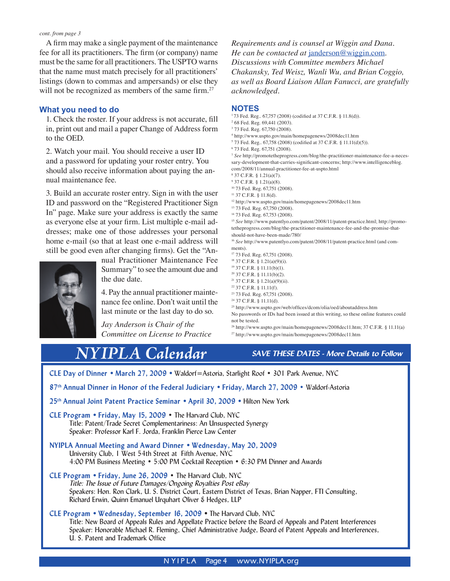A firm may make a single payment of the maintenance fee for all its practitioners. The firm (or company) name must be the same for all practitioners. The USPTO warns that the name must match precisely for all practitioners' listings (down to commas and ampersands) or else they will not be recognized as members of the same firm.<sup>27</sup>

#### **What you need to do**

1. Check the roster. If your address is not accurate, fill in, print out and mail a paper Change of Address form to the OED.

2. Watch your mail. You should receive a user ID and a password for updating your roster entry. You should also receive information about paying the annual maintenance fee.

3. Build an accurate roster entry. Sign in with the user ID and password on the "Registered Practitioner Sign In" page. Make sure your address is exactly the same as everyone else at your firm. List multiple e-mail addresses; make one of those addresses your personal home e-mail (so that at least one e-mail address will still be good even after changing firms). Get the "An-



nual Practitioner Maintenance Fee Summary" to see the amount due and the due date.

4. Pay the annual practitioner maintenance fee online. Don't wait until the last minute or the last day to do so.

*Jay Anderson is Chair of the Committee on License to Practice*  *Requirements and is counsel at Wiggin and Dana. He can be contacted at* janderson@wiggin.com*. Discussions with Committee members Michael Chakansky, Ted Weisz, Wanli Wu, and Brian Coggio, as well as Board Liaison Allan Fanucci, are gratefully acknowledged.*

#### **NOTES**

- 1 73 Fed. Reg.. 67,757 (2008) (codified at 37 C.F.R. § 11.8(d)).
- 2 68 Fed. Reg. 69,441 (2003).
- 3 73 Fed. Reg. 67,750 (2008).
- 4 http://www.uspto.gov/main/homepagenews/2008dec11.htm 5 73 Fed. Reg.. 67,758 (2008) (codified at 37 C.F.R. § 11.11(d)(5)).
- 6 73 Fed. Reg. 67,751 (2008).

<sup>7</sup> *See* http://promotetheprogress.com/blog/the-practitioner-maintenance-fee-a-necessary-development-that-carries-significant-concerns; http://www.intelligenceblog. com/2008/11/annual-practitioner-fee-at-uspto.html

- 
- 8 37 C.F.R. § 1.21(a)(7).
- 9 37 C.F.R. § 1.21(a)(8). 10 73 Fed. Reg. 67,751 (2008).
- <sup>11</sup> 37 C.F.R. § 11.8(d).
- 12 http://www.uspto.gov/main/homepagenews/2008dec11.htm
- 13 73 Fed. Reg. 67,750 (2008).
- 14 73 Fed. Reg. 67,753 (2008).
- <sup>15</sup> *See* http://www.patentlyo.com/patent/2008/11/patent-practice.html; http://promotetheprogress.com/blog/the-practitioner-maintenance-fee-and-the-promise-thatshould-not-have-been-made/780/

<sup>16</sup> See http://www.patentlyo.com/patent/2008/11/patent-practice.html (and comments).

- 17 73 Fed. Reg. 67,751 (2008).
- 18 37 C.F.R. § 1.21(a)(9)(i).
- 19 37 C.F.R. § 11.11(b)(1).
- 20 37 C.F.R. § 11.11(b)(2).
- 21 37 C.F.R. § 1.21(a)(9)(ii).
- $^{22}$  37 C.F.R. § 11.11(f).
- 23 73 Fed. Reg. 67,751 (2008).
- 24 37 C.F.R. § 11.11(d).

25 http://www.uspto.gov/web/offices/dcom/olia/oed/aboutaddress.htm

No passwords or IDs had been issued at this writing, so these online features could not be tested.

26 http://www.uspto.gov/main/homepagenews/2008dec11.htm; 37 C.F.R. § 11.11(a) 27 http://www.uspto.gov/main/homepagenews/2008dec11.htm

# *NYIPLA Calendar*

*SAVE THESE DATES - More Details to Follow*

**CLE Day of Dinner • March 27, 2009 •** Waldorf=Astoria, Starlight Roof • 301 Park Avenue, NYC

**87th Annual Dinner in Honor of the Federal Judiciary • Friday, March 27, 2009** • Waldorf-Astoria

**25th Annual Joint Patent Practice Seminar • April 30, 2009 •** Hilton New York

**CLE Program • Friday, May 15, 2009** • The Harvard Club, NYC Title: Patent/Trade Secret Complementariness: An Unsuspected Synergy Speaker: Professor Karl F. Jorda, Franklin Pierce Law Center

**NYIPLA Annual Meeting and Award Dinner • Wednesday, May 20, 2009** University Club, 1 West 54th Street at Fifth Avenue, NYC 4:00 PM Business Meeting • 5:00 PM Cocktail Reception • 6:30 PM Dinner and Awards

**CLE Program • Friday, June 26, 2009** • The Harvard Club, NYC *Title: The Issue of Future Damages/Ongoing Royalties Post eBay* Speakers: Hon. Ron Clark, U. S. District Court, Eastern District of Texas, Brian Napper, FTI Consulting, Richard Erwin, Quinn Emanuel Urquhart Oliver & Hedges, LLP

**CLE Program • Wednesday, September 16, 2009 •** The Harvard Club, NYC Title: New Board of Appeals Rules and Appellate Practice before the Board of Appeals and Patent Interferences Speaker: Honorable Michael R. Fleming, Chief Administrative Judge, Board of Patent Appeals and Interferences, U. S. Patent and Trademark Office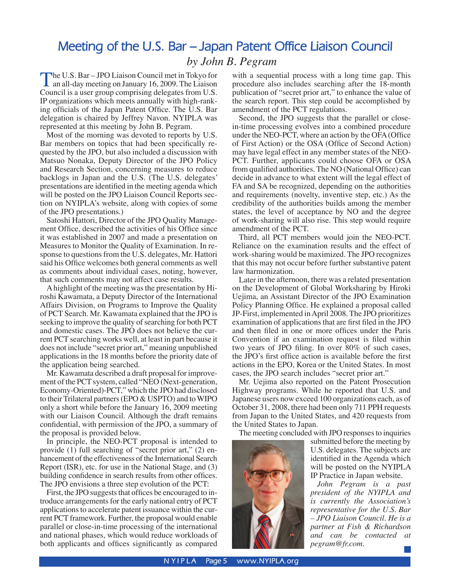# **Meeting of the U.S. Bar – Japan Patent Office Liaison Council** *by John B. Pegram*

The U.S. Bar – JPO Liaison Council met in Tokyo for<br>an all-day meeting on January 16, 2009. The Liaison<br>Council is a user group comprising delegates from U.S. Council is a user group comprising delegates from U.S. IP organizations which meets annually with high-ranking officials of the Japan Patent Office. The U.S. Bar delegation is chaired by Jeffrey Navon. NYIPLA was represented at this meeting by John B. Pegram.

Most of the morning was devoted to reports by U.S. Bar members on topics that had been specifically requested by the JPO, but also included a discussion with Matsuo Nonaka, Deputy Director of the JPO Policy and Research Section, concerning measures to reduce backlogs in Japan and the U.S. (The U.S. delegates' presentations are identified in the meeting agenda which will be posted on the JPO Liaison Council Reports section on NYIPLA's website, along with copies of some of the JPO presentations.)

Satoshi Hattori, Director of the JPO Quality Management Office, described the activities of his Office since it was established in 2007 and made a presentation on Measures to Monitor the Quality of Examination. In response to questions from the U.S. delegates, Mr. Hattori said his Office welcomes both general comments as well as comments about individual cases, noting, however, that such comments may not affect case results.

A highlight of the meeting was the presentation by Hiroshi Kawamata, a Deputy Director of the International Affairs Division, on Programs to Improve the Quality of PCT Search. Mr. Kawamata explained that the JPO is seeking to improve the quality of searching for both PCT and domestic cases. The JPO does not believe the current PCT searching works well, at least in part because it does not include "secret prior art," meaning unpublished applications in the 18 months before the priority date of the application being searched.

Mr. Kawamata described a draft proposal for improvement of the PCT system, called "NEO (Next-generation, Economy-Oriented)-PCT," which the JPO had disclosed to their Trilateral partners (EPO & USPTO) and to WIPO only a short while before the January 16, 2009 meeting with our Liaison Council. Although the draft remains confidential, with permission of the JPO, a summary of the proposal is provided below.

In principle, the NEO-PCT proposal is intended to provide (1) full searching of "secret prior art," (2) enhancement of the effectiveness of the International Search Report (ISR), etc. for use in the National Stage, and (3) building confidence in search results from other offices. The JPO envisions a three step evolution of the PCT:

First, the JPO suggests that offices be encouraged to introduce arrangements for the early national entry of PCT applications to accelerate patent issuance within the current PCT framework. Further, the proposal would enable parallel or close-in-time processing of the international and national phases, which would reduce workloads of both applicants and offices significantly as compared with a sequential process with a long time gap. This procedure also includes searching after the 18-month publication of "secret prior art," to enhance the value of the search report. This step could be accomplished by amendment of the PCT regulations.

Second, the JPO suggests that the parallel or closein-time processing evolves into a combined procedure under the NEO-PCT, where an action by the OFA (Office of First Action) or the OSA (Office of Second Action) may have legal effect in any member states of the NEO-PCT. Further, applicants could choose OFA or OSA from qualified authorities. The NO (National Office) can decide in advance to what extent will the legal effect of FA and SA be recognized, depending on the authorities and requirements (novelty, inventive step, etc.) As the credibility of the authorities builds among the member states, the level of acceptance by NO and the degree of work-sharing will also rise. This step would require amendment of the PCT.

Third, all PCT members would join the NEO-PCT. Reliance on the examination results and the effect of work-sharing would be maximized. The JPO recognizes that this may not occur before further substantive patent law harmonization.

Later in the afternoon, there was a related presentation on the Development of Global Worksharing by Hiroki Uejima, an Assistant Director of the JPO Examination Policy Planning Office. He explained a proposal called JP-First, implemented in April 2008. The JPO prioritizes examination of applications that are first filed in the JPO and then filed in one or more offices under the Paris Convention if an examination request is filed within two years of JPO filing. In over 80% of such cases, the JPO's first office action is available before the first actions in the EPO, Korea or the United States. In most cases, the JPO search includes "secret prior art."

Mr. Uejima also reported on the Patent Prosecution Highway programs. While he reported that U.S. and Japanese users now exceed 100 organizations each, as of October 31, 2008, there had been only 711 PPH requests from Japan to the United States, and 420 requests from the United States to Japan.

The meeting concluded with JPO responses to inquiries



submitted before the meeting by U.S. delegates. The subjects are identified in the Agenda which will be posted on the NYIPLA IP Practice in Japan website.

*John Pegram is a past president of the NYIPLA and is currently the Association's representative for the U.S. Bar – JPO Liaison Council. He is a partner at Fish & Richardson and can be contacted at pegram@fr.com.*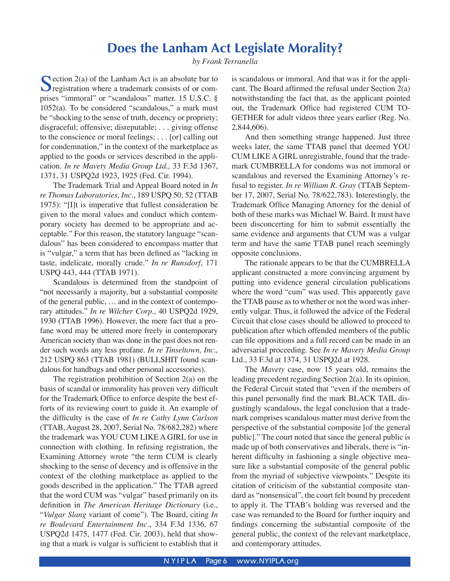# **Does the Lanham Act Legislate Morality?**

*by Frank Terranella*

Section 2(a) of the Lanham Act is an absolute bar to registration where a trademark consists of or comprises "immoral" or "scandalous" matter. 15 U.S.C. §  $1052(a)$ . To be considered "scandalous," a mark must be "shocking to the sense of truth, decency or propriety; disgraceful; offensive; disreputable; . . . giving offense to the conscience or moral feelings; . . . [or] calling out for condemnation," in the context of the marketplace as applied to the goods or services described in the application. *In re Mavety Media Group Ltd.,* 33 F.3d 1367, 1371, 31 USPQ2d 1923, 1925 (Fed. Cir. 1994).

 The Trademark Trial and Appeal Board noted in *In re Thomas Laboratories, Inc.*, 189 USPQ 50, 52 (TTAB 1975): "[I]t is imperative that fullest consideration be given to the moral values and conduct which contemporary society has deemed to be appropriate and acceptable." For this reason, the statutory language "scandalous" has been considered to encompass matter that is "vulgar," a term that has been defined as "lacking in taste, indelicate, morally crude." *In re Runsdorf*, 171 USPQ 443, 444 (TTAB 1971).

 Scandalous is determined from the standpoint of "not necessarily a majority, but a substantial composite of the general public, … and in the context of contemporary attitudes." *In re Wilcher Corp.*, 40 USPQ2d 1929, 1930 (TTAB 1996). However, the mere fact that a profane word may be uttered more freely in contemporary American society than was done in the past does not render such words any less profane. *In re Tinseltown, Inc.,* 212 USPQ 863 (TTAB 1981) (BULLSHIT found scandalous for handbags and other personal accessories).

 The registration prohibition of Section 2(a) on the basis of scandal or immorality has proven very difficult for the Trademark Office to enforce despite the best efforts of its reviewing court to guide it. An example of the difficulty is the case of *In re Cathy Lynn Carlson* (TTAB, August 28, 2007, Serial No. 78/682,282) where the trademark was YOU CUM LIKE A GIRL for use in connection with clothing. In refusing registration, the Examining Attorney wrote "the term CUM is clearly shocking to the sense of decency and is offensive in the context of the clothing marketplace as applied to the goods described in the application." The TTAB agreed that the word CUM was "vulgar" based primarily on its definition in *The American Heritage Dictionary* (i.e., "*Vulgar Slang* variant of come"). The Board, citing *In re Boulevard Entertainment Inc.*, 334 F.3d 1336, 67 USPQ2d 1475, 1477 (Fed. Cir. 2003), held that showing that a mark is vulgar is sufficient to establish that it

is scandalous or immoral. And that was it for the applicant. The Board affirmed the refusal under Section 2(a) notwithstanding the fact that, as the applicant pointed out, the Trademark Office had registered CUM TO-GETHER for adult videos three years earlier (Reg. No. 2,844,606).

And then something strange happened. Just three weeks later, the same TTAB panel that deemed YOU CUM LIKE A GIRL unregistrable, found that the trademark CUMBRELLA for condoms was not immoral or scandalous and reversed the Examining Attorney's refusal to register. *In re William R. Gray* (TTAB September 17, 2007, Serial No. 78/622,783). Interestingly, the Trademark Office Managing Attorney for the denial of both of these marks was Michael W. Baird. It must have been disconcerting for him to submit essentially the same evidence and arguments that CUM was a vulgar term and have the same TTAB panel reach seemingly opposite conclusions.

The rationale appears to be that the CUMBRELLA applicant constructed a more convincing argument by putting into evidence general circulation publications where the word "cum" was used. This apparently gave the TTAB pause as to whether or not the word was inherently vulgar. Thus, it followed the advice of the Federal Circuit that close cases should be allowed to proceed to publication after which offended members of the public can file oppositions and a full record can be made in an adversarial proceeding. See *In re Mavety Media Group* Ltd., 33 F.3d at 1374, 31 USPQ2d at 1928.

 The *Mavety* case, now 15 years old, remains the leading precedent regarding Section 2(a). In its opinion, the Federal Circuit stated that "even if the members of this panel personally find the mark BLACK TAIL disgustingly scandalous, the legal conclusion that a trademark comprises scandalous matter must derive from the perspective of the substantial composite [of the general public]." The court noted that since the general public is made up of both conservatives and liberals, there is "inherent difficulty in fashioning a single objective measure like a substantial composite of the general public from the myriad of subjective viewpoints." Despite its citation of criticism of the substantial composite standard as "nonsensical", the court felt bound by precedent to apply it. The TTAB's holding was reversed and the case was remanded to the Board for further inquiry and findings concerning the substantial composite of the general public, the context of the relevant marketplace, and contemporary attitudes.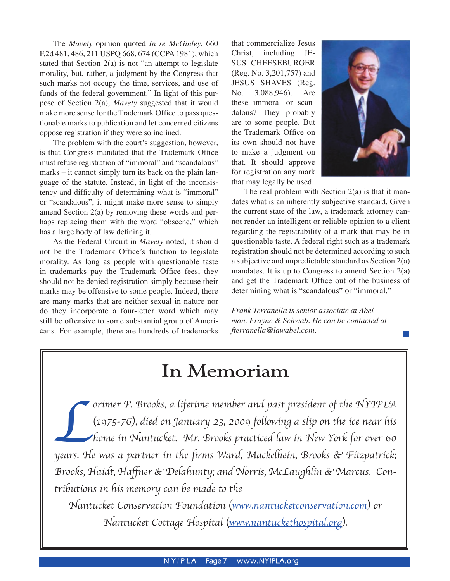The *Mavety* opinion quoted *In re McGinley*, 660 F.2d 481, 486, 211 USPQ 668, 674 (CCPA 1981), which stated that Section 2(a) is not "an attempt to legislate morality, but, rather, a judgment by the Congress that such marks not occupy the time, services, and use of funds of the federal government." In light of this purpose of Section 2(a), *Mavety* suggested that it would make more sense for the Trademark Office to pass questionable marks to publication and let concerned citizens oppose registration if they were so inclined.

The problem with the court's suggestion, however, is that Congress mandated that the Trademark Office must refuse registration of "immoral" and "scandalous" marks – it cannot simply turn its back on the plain language of the statute. Instead, in light of the inconsistency and difficulty of determining what is "immoral" or "scandalous", it might make more sense to simply amend Section 2(a) by removing these words and perhaps replacing them with the word "obscene," which has a large body of law defining it.

 As the Federal Circuit in *Mavety* noted, it should not be the Trademark Office's function to legislate morality. As long as people with questionable taste in trademarks pay the Trademark Office fees, they should not be denied registration simply because their marks may be offensive to some people. Indeed, there are many marks that are neither sexual in nature nor do they incorporate a four-letter word which may still be offensive to some substantial group of Americans. For example, there are hundreds of trademarks

that commercialize Jesus Christ, including JE-SUS CHEESEBURGER (Reg. No. 3,201,757) and JESUS SHAVES (Reg. No. 3,088,946). Are these immoral or scandalous? They probably are to some people. But the Trademark Office on its own should not have to make a judgment on that. It should approve for registration any mark that may legally be used.



The real problem with Section  $2(a)$  is that it mandates what is an inherently subjective standard. Given the current state of the law, a trademark attorney cannot render an intelligent or reliable opinion to a client regarding the registrability of a mark that may be in questionable taste. A federal right such as a trademark registration should not be determined according to such a subjective and unpredictable standard as Section 2(a) mandates. It is up to Congress to amend Section 2(a) and get the Trademark Office out of the business of determining what is "scandalous" or "immoral."

*Frank Terranella is senior associate at Abelman, Frayne & Schwab. He can be contacted at fterranella@lawabel.com.*

# **In Memoriam**

orimer P. Brooks, a lifetime member and past president of the NYIPLA<br>(1975-76), died on January 23, 2009 following a slip on the ice near his<br>home in Nantucket. Mr. Brooks practiced law in New York for over 60<br>years. He wa (1975-76), died on January 23, 2009 following a slip on the ice near his home in Nantucket. Mr. Brooks practiced law in New York for over 60 years. He was a partner in the firms Ward, Mackelhein, Brooks & Fitzpatrick; Brooks, Haidt, Haffner & Delahunty; and Norris, McLaughlin & Marcus. Contributions in his memory can be made to the

Nantucket Conservation Foundation (www.nantucketconservation.com) or Nantucket Cottage Hospital (www.nantuckethospital.org).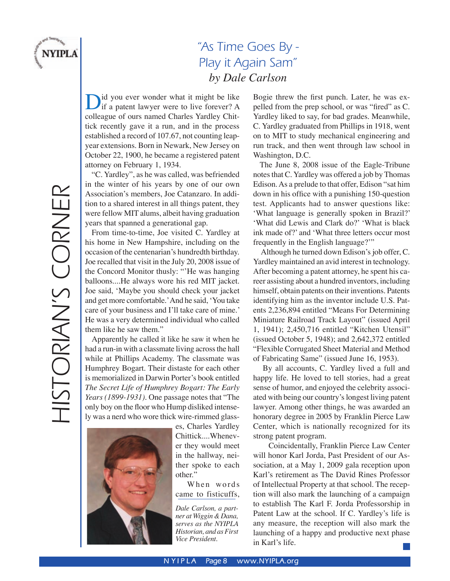

# "As Time Goes By - Play it Again Sam" *by Dale Carlson*

Did you ever wonder what it might be like<br>if a patent lawyer were to live forever? A<br>collecence of our named Charles Yordlay Chit colleague of ours named Charles Yardley Chittick recently gave it a run, and in the process established a record of 107.67, not counting leapyear extensions. Born in Newark, New Jersey on October 22, 1900, he became a registered patent attorney on February 1, 1934.

"C. Yardley", as he was called, was befriended in the winter of his years by one of our own Association's members, Joe Catanzaro. In addition to a shared interest in all things patent, they were fellow MIT alums, albeit having graduation years that spanned a generational gap.

From time-to-time, Joe visited C. Yardley at his home in New Hampshire, including on the occasion of the centenarian's hundredth birthday. Joe recalled that visit in the July 20, 2008 issue of the Concord Monitor thusly: "'He was hanging balloons....He always wore his red MIT jacket. Joe said, ʻMaybe you should check your jacket and get more comfortable.' And he said, ʻYou take care of your business and I'll take care of mine.' He was a very determined individual who called them like he saw them."

Apparently he called it like he saw it when he had a run-in with a classmate living across the hall while at Phillips Academy. The classmate was Humphrey Bogart. Their distaste for each other is memorialized in Darwin Porter's book entitled *The Secret Life of Humphrey Bogart: The Early Years (1899-1931)*. One passage notes that "The only boy on the floor who Hump disliked intensely was a nerd who wore thick wire-rimmed glass-



es, Charles Yardley Chittick....Whenever they would meet in the hallway, neither spoke to each other."

When words came to fisticuffs,

*Dale Carlson, a partner at Wiggin & Dana, serves as the NYIPLA Historian, and as First Vice President.*

Bogie threw the first punch. Later, he was expelled from the prep school, or was "fired" as C. Yardley liked to say, for bad grades. Meanwhile, C. Yardley graduated from Phillips in 1918, went on to MIT to study mechanical engineering and run track, and then went through law school in Washington, D.C.

The June 8, 2008 issue of the Eagle-Tribune notes that C. Yardley was offered a job by Thomas Edison. As a prelude to that offer, Edison "sat him down in his office with a punishing 150-question test. Applicants had to answer questions like: ʻWhat language is generally spoken in Brazil?' ʻWhat did Lewis and Clark do?' ʻWhat is black ink made of?' and ʻWhat three letters occur most frequently in the English language?'"

Although he turned down Edison's job offer, C. Yardley maintained an avid interest in technology. After becoming a patent attorney, he spent his career assisting about a hundred inventors, including himself, obtain patents on their inventions. Patents identifying him as the inventor include U.S. Patents 2,236,894 entitled "Means For Determining Miniature Railroad Track Layout" (issued April 1, 1941); 2,450,716 entitled "Kitchen Utensil" (issued October 5, 1948); and 2,642,372 entitled "Flexible Corrugated Sheet Material and Method of Fabricating Same" (issued June 16, 1953).

By all accounts, C. Yardley lived a full and happy life. He loved to tell stories, had a great sense of humor, and enjoyed the celebrity associated with being our country's longest living patent lawyer. Among other things, he was awarded an honorary degree in 2005 by Franklin Pierce Law Center, which is nationally recognized for its strong patent program.

Coincidentally, Franklin Pierce Law Center will honor Karl Jorda, Past President of our Association, at a May 1, 2009 gala reception upon Karl's retirement as The David Rines Professor of Intellectual Property at that school. The reception will also mark the launching of a campaign to establish The Karl F. Jorda Professorship in Patent Law at the school. If C. Yardley's life is any measure, the reception will also mark the launching of a happy and productive next phase in Karl's life.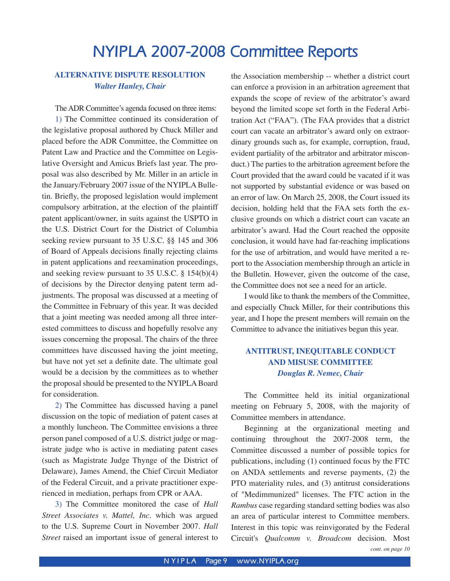# **NYIPLA 2007-2008 Committee Reports**

## **ALTERNATIVE DISPUTE RESOLUTION** *Walter Hanley, Chair*

 The ADR Committee's agenda focused on three items: 1) The Committee continued its consideration of the legislative proposal authored by Chuck Miller and placed before the ADR Committee, the Committee on Patent Law and Practice and the Committee on Legislative Oversight and Amicus Briefs last year. The proposal was also described by Mr. Miller in an article in the January/February 2007 issue of the NYIPLA Bulletin. Briefly, the proposed legislation would implement compulsory arbitration, at the election of the plaintiff patent applicant/owner, in suits against the USPTO in the U.S. District Court for the District of Columbia seeking review pursuant to 35 U.S.C. §§ 145 and 306 of Board of Appeals decisions finally rejecting claims in patent applications and reexamination proceedings, and seeking review pursuant to 35 U.S.C. § 154(b)(4) of decisions by the Director denying patent term adjustments. The proposal was discussed at a meeting of the Committee in February of this year. It was decided that a joint meeting was needed among all three interested committees to discuss and hopefully resolve any issues concerning the proposal. The chairs of the three committees have discussed having the joint meeting, but have not yet set a definite date. The ultimate goal would be a decision by the committees as to whether the proposal should be presented to the NYIPLA Board for consideration.

2) The Committee has discussed having a panel discussion on the topic of mediation of patent cases at a monthly luncheon. The Committee envisions a three person panel composed of a U.S. district judge or magistrate judge who is active in mediating patent cases (such as Magistrate Judge Thynge of the District of Delaware), James Amend, the Chief Circuit Mediator of the Federal Circuit, and a private practitioner experienced in mediation, perhaps from CPR or AAA.

3) The Committee monitored the case of *Hall Street Associates v. Mattel, Inc.* which was argued to the U.S. Supreme Court in November 2007. *Hall Street* raised an important issue of general interest to the Association membership -- whether a district court can enforce a provision in an arbitration agreement that expands the scope of review of the arbitrator's award beyond the limited scope set forth in the Federal Arbitration Act ("FAA"). (The FAA provides that a district court can vacate an arbitrator's award only on extraordinary grounds such as, for example, corruption, fraud, evident partiality of the arbitrator and arbitrator misconduct.) The parties to the arbitration agreement before the Court provided that the award could be vacated if it was not supported by substantial evidence or was based on an error of law. On March 25, 2008, the Court issued its decision, holding held that the FAA sets forth the exclusive grounds on which a district court can vacate an arbitrator's award. Had the Court reached the opposite conclusion, it would have had far-reaching implications for the use of arbitration, and would have merited a report to the Association membership through an article in the Bulletin. However, given the outcome of the case, the Committee does not see a need for an article.

 I would like to thank the members of the Committee, and especially Chuck Miller, for their contributions this year, and I hope the present members will remain on the Committee to advance the initiatives begun this year.

## **ANTITRUST, INEQUITABLE CONDUCT AND MISUSE COMMITTEE** *Douglas R. Nemec, Chair*

 The Committee held its initial organizational meeting on February 5, 2008, with the majority of Committee members in attendance.

*cont. on page 10* Beginning at the organizational meeting and continuing throughout the 2007-2008 term, the Committee discussed a number of possible topics for publications, including (1) continued focus by the FTC on ANDA settlements and reverse payments, (2) the PTO materiality rules, and (3) antitrust considerations of "Medimmunized" licenses. The FTC action in the *Rambus* case regarding standard setting bodies was also an area of particular interest to Committee members. Interest in this topic was reinvigorated by the Federal Circuit's *Qualcomm v. Broadcom* decision. Most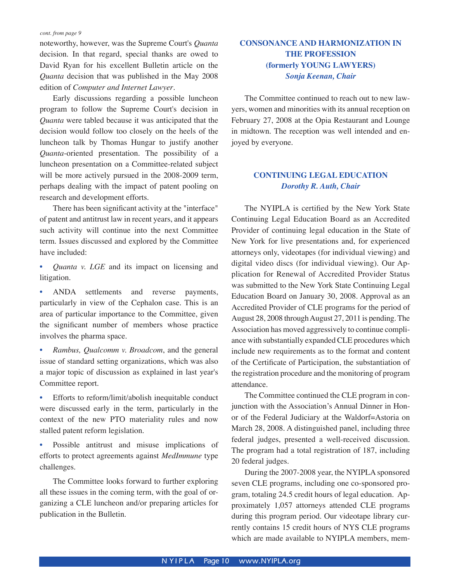noteworthy, however, was the Supreme Court's *Quanta* decision. In that regard, special thanks are owed to David Ryan for his excellent Bulletin article on the *Quanta* decision that was published in the May 2008 edition of *Computer and Internet Lawyer*.

Early discussions regarding a possible luncheon program to follow the Supreme Court's decision in *Quanta* were tabled because it was anticipated that the decision would follow too closely on the heels of the luncheon talk by Thomas Hungar to justify another *Quanta*-oriented presentation. The possibility of a luncheon presentation on a Committee-related subject will be more actively pursued in the 2008-2009 term, perhaps dealing with the impact of patent pooling on research and development efforts.

 There has been significant activity at the "interface" of patent and antitrust law in recent years, and it appears such activity will continue into the next Committee term. Issues discussed and explored by the Committee have included:

• *Quanta v. LGE* and its impact on licensing and litigation.

• ANDA settlements and reverse payments, particularly in view of the Cephalon case. This is an area of particular importance to the Committee, given the significant number of members whose practice involves the pharma space.

- *Rambus, Qualcomm v. Broadcom*, and the general issue of standard setting organizations, which was also a major topic of discussion as explained in last year's Committee report.
- Efforts to reform/limit/abolish inequitable conduct were discussed early in the term, particularly in the context of the new PTO materiality rules and now stalled patent reform legislation.
- Possible antitrust and misuse implications of efforts to protect agreements against *MedImmune* type challenges.

The Committee looks forward to further exploring all these issues in the coming term, with the goal of organizing a CLE luncheon and/or preparing articles for publication in the Bulletin.

## **CONSONANCE AND HARMONIZATION IN THE PROFESSION (formerly YOUNG LAWYERS)** *Sonja Keenan, Chair*

The Committee continued to reach out to new lawyers, women and minorities with its annual reception on February 27, 2008 at the Opia Restaurant and Lounge in midtown. The reception was well intended and enjoyed by everyone.

## **CONTINUING LEGAL EDUCATION** *Dorothy R. Auth, Chair*

 The NYIPLA is certified by the New York State Continuing Legal Education Board as an Accredited Provider of continuing legal education in the State of New York for live presentations and, for experienced attorneys only, videotapes (for individual viewing) and digital video discs (for individual viewing). Our Application for Renewal of Accredited Provider Status was submitted to the New York State Continuing Legal Education Board on January 30, 2008. Approval as an Accredited Provider of CLE programs for the period of August 28, 2008 through August 27, 2011 is pending. The Association has moved aggressively to continue compliance with substantially expanded CLE procedures which include new requirements as to the format and content of the Certificate of Participation, the substantiation of the registration procedure and the monitoring of program attendance.

The Committee continued the CLE program in conjunction with the Association's Annual Dinner in Honor of the Federal Judiciary at the Waldorf=Astoria on March 28, 2008. A distinguished panel, including three federal judges, presented a well-received discussion. The program had a total registration of 187, including 20 federal judges.

During the 2007-2008 year, the NYIPLA sponsored seven CLE programs, including one co-sponsored program, totaling 24.5 credit hours of legal education. Approximately 1,057 attorneys attended CLE programs during this program period. Our videotape library currently contains 15 credit hours of NYS CLE programs which are made available to NYIPLA members, mem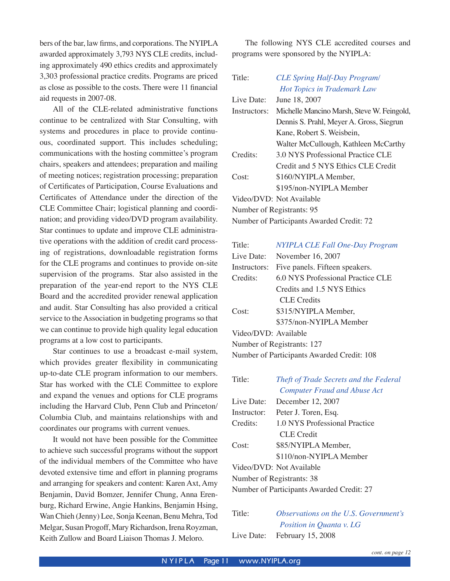bers of the bar, law firms, and corporations. The NYIPLA awarded approximately 3,793 NYS CLE credits, including approximately 490 ethics credits and approximately 3,303 professional practice credits. Programs are priced as close as possible to the costs. There were 11 financial aid requests in 2007-08.

 All of the CLE-related administrative functions continue to be centralized with Star Consulting, with systems and procedures in place to provide continuous, coordinated support. This includes scheduling; communications with the hosting committee's program chairs, speakers and attendees; preparation and mailing of meeting notices; registration processing; preparation of Certificates of Participation, Course Evaluations and Certificates of Attendance under the direction of the CLE Committee Chair; logistical planning and coordination; and providing video/DVD program availability. Star continues to update and improve CLE administrative operations with the addition of credit card processing of registrations, downloadable registration forms for the CLE programs and continues to provide on-site supervision of the programs. Star also assisted in the preparation of the year-end report to the NYS CLE Board and the accredited provider renewal application and audit. Star Consulting has also provided a critical service to the Association in budgeting programs so that we can continue to provide high quality legal education programs at a low cost to participants.

 Star continues to use a broadcast e-mail system, which provides greater flexibility in communicating up-to-date CLE program information to our members. Star has worked with the CLE Committee to explore and expand the venues and options for CLE programs including the Harvard Club, Penn Club and Princeton/ Columbia Club, and maintains relationships with and coordinates our programs with current venues.

It would not have been possible for the Committee to achieve such successful programs without the support of the individual members of the Committee who have devoted extensive time and effort in planning programs and arranging for speakers and content: Karen Axt, Amy Benjamin, David Bomzer, Jennifer Chung, Anna Erenburg, Richard Erwine, Angie Hankins, Benjamin Hsing, Wan Chieh (Jenny) Lee, Sonja Keenan, Benu Mehra, Tod Melgar, Susan Progoff, Mary Richardson, Irena Royzman, Keith Zullow and Board Liaison Thomas J. Meloro.

 The following NYS CLE accredited courses and programs were sponsored by the NYIPLA:

| Title:                                    | <b>CLE Spring Half-Day Program/</b>        |  |  |
|-------------------------------------------|--------------------------------------------|--|--|
|                                           | <b>Hot Topics in Trademark Law</b>         |  |  |
| Live Date:                                | June 18, 2007                              |  |  |
| Instructors:                              | Michelle Mancino Marsh, Steve W. Feingold, |  |  |
|                                           | Dennis S. Prahl, Meyer A. Gross, Siegrun   |  |  |
|                                           | Kane, Robert S. Weisbein,                  |  |  |
|                                           | Walter McCullough, Kathleen McCarthy       |  |  |
| Credits:                                  | 3.0 NYS Professional Practice CLE          |  |  |
|                                           | Credit and 5 NYS Ethics CLE Credit         |  |  |
| Cost:                                     | \$160/NYIPLA Member,                       |  |  |
|                                           | \$195/non-NYIPLA Member                    |  |  |
| Video/DVD: Not Available                  |                                            |  |  |
| Number of Registrants: 95                 |                                            |  |  |
| Number of Participants Awarded Credit: 72 |                                            |  |  |

| Title:               | <b>NYIPLA CLE Fall One-Day Program</b>     |
|----------------------|--------------------------------------------|
| Live Date:           | November 16, 2007                          |
| Instructors:         | Five panels. Fifteen speakers.             |
| Credits:             | 6.0 NYS Professional Practice CLE          |
|                      | Credits and 1.5 NYS Ethics                 |
|                      | CLE Credits                                |
| Cost:                | \$315/NYIPLA Member,                       |
|                      | \$375/non-NYIPLA Member                    |
| Video/DVD: Available |                                            |
|                      | Number of Registrants: 127                 |
|                      | Number of Participants Awarded Credit: 108 |

| Title:                                    | Theft of Trade Secrets and the Federal |  |  |
|-------------------------------------------|----------------------------------------|--|--|
|                                           | <b>Computer Fraud and Abuse Act</b>    |  |  |
| Live Date:                                | December 12, 2007                      |  |  |
| Instructor:                               | Peter J. Toren, Esq.                   |  |  |
| Credits:                                  | 1.0 NYS Professional Practice          |  |  |
|                                           | CLE Credit                             |  |  |
| Cost:                                     | \$85/NYIPLA Member,                    |  |  |
|                                           | \$110/non-NYIPLA Member                |  |  |
| Video/DVD: Not Available                  |                                        |  |  |
| Number of Registrants: 38                 |                                        |  |  |
| Number of Participants Awarded Credit: 27 |                                        |  |  |

Title: *Observations on the U.S. Government's Position in Quanta v. LG* Live Date: February 15, 2008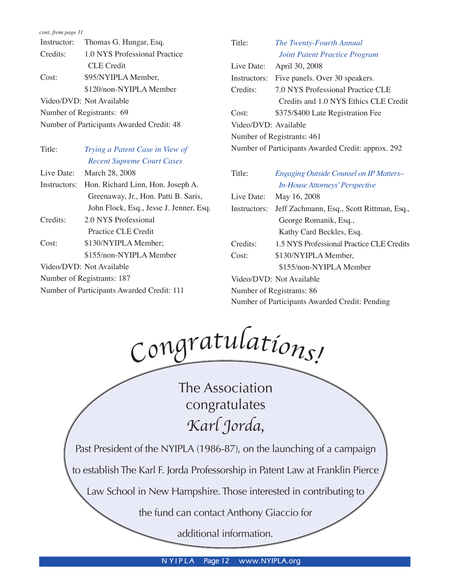| Instructor:  | Thomas G. Hungar, Esq.                    | Title:               | The Twenty-Fourth Annual                           |
|--------------|-------------------------------------------|----------------------|----------------------------------------------------|
| Credits:     | 1.0 NYS Professional Practice             |                      | <b>Joint Patent Practice Program</b>               |
|              | <b>CLE</b> Credit                         | Live Date:           | April 30, 2008                                     |
| Cost:        | \$95/NYIPLA Member,                       | Instructors:         | Five panels. Over 30 speakers.                     |
|              | \$120/non-NYIPLA Member                   | Credits:             | 7.0 NYS Professional Practice CLE                  |
|              | Video/DVD: Not Available                  |                      | Credits and 1.0 NYS Ethics CLE Credit              |
|              | Number of Registrants: 69                 | Cost:                | \$375/\$400 Late Registration Fee                  |
|              | Number of Participants Awarded Credit: 48 | Video/DVD: Available |                                                    |
|              |                                           |                      | Number of Registrants: 461                         |
| Title:       | Trying a Patent Case in View of           |                      | Number of Participants Awarded Credit: approx. 292 |
|              | <b>Recent Supreme Court Cases</b>         |                      |                                                    |
| Live Date:   | March 28, 2008                            | Title:               | <b>Engaging Outside Counsel on IP Matters-</b>     |
| Instructors: | Hon. Richard Linn, Hon. Joseph A.         |                      | <b>In-House Attorneys' Perspective</b>             |
|              | Greenaway, Jr., Hon. Patti B. Saris,      | Live Date:           | May 16, 2008                                       |
|              | John Flock, Esq., Jesse J. Jenner, Esq.   | Instructors:         | Jeff Zachmann, Esq., Scott Rittman, Esq.,          |
| Credits:     | 2.0 NYS Professional                      |                      | George Romanik, Esq.,                              |
|              | Practice CLE Credit                       |                      | Kathy Card Beckles, Esq.                           |
| Cost:        | \$130/NYIPLA Member;                      | Credits:             | 1.5 NYS Professional Practice CLE Credits          |
|              | \$155/non-NYIPLA Member                   | Cost:                | \$130/NYIPLA Member,                               |

Number of Registrants: 187 Number of Participants Awarded Credit: 111

Video/DVD: Not Available

<sup>C</sup>o<sup>n</sup>g<sup>r</sup>atulations!

\$155/non-NYIPLA Member

Number of Participants Awarded Credit: Pending

Video/DVD: Not Available Number of Registrants: 86

The Association congratulates Karl Jorda,

Past President of the NYIPLA (1986-87), on the launching of a campaign

to establish The Karl F. Jorda Professorship in Patent Law at Franklin Pierce

Law School in New Hampshire. Those interested in contributing to

the fund can contact Anthony Giaccio for

additional information.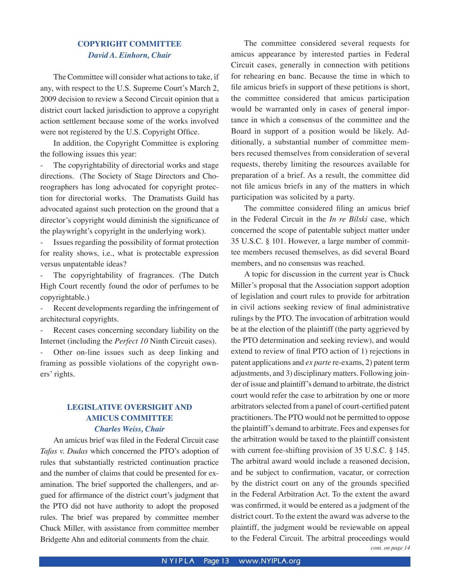## **COPYRIGHT COMMITTEE** *David A. Einhorn, Chair*

 The Committee will consider what actions to take, if any, with respect to the U.S. Supreme Court's March 2, 2009 decision to review a Second Circuit opinion that a district court lacked jurisdiction to approve a copyright action settlement because some of the works involved were not registered by the U.S. Copyright Office.

 In addition, the Copyright Committee is exploring the following issues this year:

The copyrightability of directorial works and stage directions. (The Society of Stage Directors and Choreographers has long advocated for copyright protection for directorial works. The Dramatists Guild has advocated against such protection on the ground that a director's copyright would diminish the significance of the playwright's copyright in the underlying work).

Issues regarding the possibility of format protection for reality shows, i.e., what is protectable expression versus unpatentable ideas?

The copyrightability of fragrances. (The Dutch High Court recently found the odor of perfumes to be copyrightable.)

Recent developments regarding the infringement of architectural copyrights.

Recent cases concerning secondary liability on the Internet (including the *Perfect 10* Ninth Circuit cases).

Other on-line issues such as deep linking and framing as possible violations of the copyright owners' rights.

## **LEGISLATIVE OVERSIGHT AND AMICUS COMMITTEE** *Charles Weiss, Chair*

 An amicus brief was filed in the Federal Circuit case *Tafas v. Dudas* which concerned the PTO's adoption of rules that substantially restricted continuation practice and the number of claims that could be presented for examination. The brief supported the challengers, and argued for affirmance of the district court's judgment that the PTO did not have authority to adopt the proposed rules. The brief was prepared by committee member Chuck Miller, with assistance from committee member Bridgette Ahn and editorial comments from the chair.

 The committee considered several requests for amicus appearance by interested parties in Federal Circuit cases, generally in connection with petitions for rehearing en banc. Because the time in which to file amicus briefs in support of these petitions is short, the committee considered that amicus participation would be warranted only in cases of general importance in which a consensus of the committee and the Board in support of a position would be likely. Additionally, a substantial number of committee members recused themselves from consideration of several requests, thereby limiting the resources available for preparation of a brief. As a result, the committee did not file amicus briefs in any of the matters in which participation was solicited by a party.

 The committee considered filing an amicus brief in the Federal Circuit in the *In re Bilski* case, which concerned the scope of patentable subject matter under 35 U.S.C. § 101. However, a large number of committee members recused themselves, as did several Board members, and no consensus was reached.

A topic for discussion in the current year is Chuck Miller's proposal that the Association support adoption of legislation and court rules to provide for arbitration in civil actions seeking review of final administrative rulings by the PTO. The invocation of arbitration would be at the election of the plaintiff (the party aggrieved by the PTO determination and seeking review), and would extend to review of final PTO action of 1) rejections in patent applications and *ex parte* re-exams, 2) patent term adjustments, and 3) disciplinary matters. Following joinder of issue and plaintiff's demand to arbitrate, the district court would refer the case to arbitration by one or more arbitrators selected from a panel of court-certified patent practitioners. The PTO would not be permitted to oppose the plaintiff's demand to arbitrate. Fees and expenses for the arbitration would be taxed to the plaintiff consistent with current fee-shifting provision of 35 U.S.C. § 145. The arbitral award would include a reasoned decision, and be subject to confirmation, vacatur, or correction by the district court on any of the grounds specified in the Federal Arbitration Act. To the extent the award was confirmed, it would be entered as a judgment of the district court. To the extent the award was adverse to the plaintiff, the judgment would be reviewable on appeal to the Federal Circuit. The arbitral proceedings would *cont. on page 14*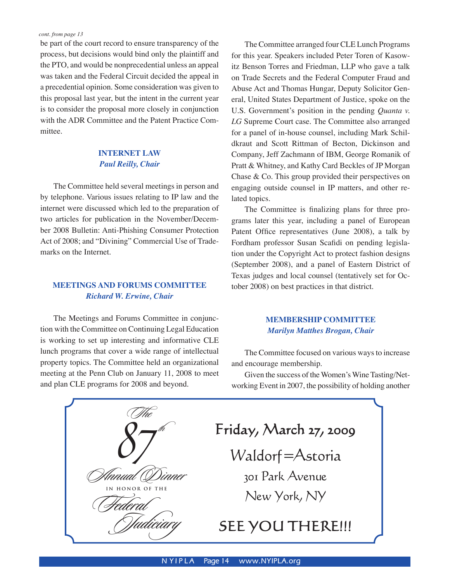be part of the court record to ensure transparency of the process, but decisions would bind only the plaintiff and the PTO, and would be nonprecedential unless an appeal was taken and the Federal Circuit decided the appeal in a precedential opinion. Some consideration was given to this proposal last year, but the intent in the current year is to consider the proposal more closely in conjunction with the ADR Committee and the Patent Practice Committee.

## **INTERNET LAW** *Paul Reilly, Chair*

 The Committee held several meetings in person and by telephone. Various issues relating to IP law and the internet were discussed which led to the preparation of two articles for publication in the November/December 2008 Bulletin: Anti-Phishing Consumer Protection Act of 2008; and "Divining" Commercial Use of Trademarks on the Internet.

## **MEETINGS AND FORUMS COMMITTEE** *Richard W. Erwine, Chair*

 The Meetings and Forums Committee in conjunction with the Committee on Continuing Legal Education is working to set up interesting and informative CLE lunch programs that cover a wide range of intellectual property topics. The Committee held an organizational meeting at the Penn Club on January 11, 2008 to meet and plan CLE programs for 2008 and beyond.

 The Committee arranged four CLE Lunch Programs for this year. Speakers included Peter Toren of Kasowitz Benson Torres and Friedman, LLP who gave a talk on Trade Secrets and the Federal Computer Fraud and Abuse Act and Thomas Hungar, Deputy Solicitor General, United States Department of Justice, spoke on the U.S. Government's position in the pending *Quanta v. LG* Supreme Court case. The Committee also arranged for a panel of in-house counsel, including Mark Schildkraut and Scott Rittman of Becton, Dickinson and Company, Jeff Zachmann of IBM, George Romanik of Pratt & Whitney, and Kathy Card Beckles of JP Morgan Chase & Co. This group provided their perspectives on engaging outside counsel in IP matters, and other related topics.

The Committee is finalizing plans for three programs later this year, including a panel of European Patent Office representatives (June 2008), a talk by Fordham professor Susan Scafidi on pending legislation under the Copyright Act to protect fashion designs (September 2008), and a panel of Eastern District of Texas judges and local counsel (tentatively set for October 2008) on best practices in that district.

## **MEMBERSHIP COMMITTEE** *Marilyn Matthes Brogan, Chair*

 The Committee focused on various ways to increase and encourage membership.

Given the success of the Women's Wine Tasting/Networking Event in 2007, the possibility of holding another

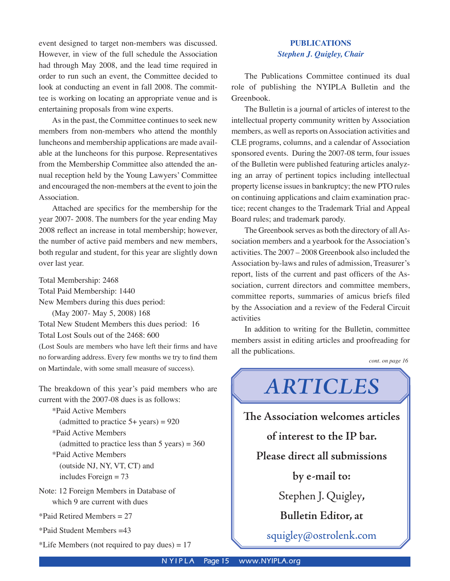event designed to target non-members was discussed. However, in view of the full schedule the Association had through May 2008, and the lead time required in order to run such an event, the Committee decided to look at conducting an event in fall 2008. The committee is working on locating an appropriate venue and is entertaining proposals from wine experts.

As in the past, the Committee continues to seek new members from non-members who attend the monthly luncheons and membership applications are made available at the luncheons for this purpose. Representatives from the Membership Committee also attended the annual reception held by the Young Lawyers' Committee and encouraged the non-members at the event to join the Association.

Attached are specifics for the membership for the year 2007- 2008. The numbers for the year ending May 2008 reflect an increase in total membership; however, the number of active paid members and new members, both regular and student, for this year are slightly down over last year.

Total Membership: 2468 Total Paid Membership: 1440 New Members during this dues period: (May 2007- May 5, 2008) 168 Total New Student Members this dues period: 16 Total Lost Souls out of the 2468: 600 (Lost Souls are members who have left their firms and have

no forwarding address. Every few months we try to find them on Martindale, with some small measure of success).

The breakdown of this year's paid members who are current with the 2007-08 dues is as follows:

\*Paid Active Members (admitted to practice  $5+$  years) = 920 \*Paid Active Members (admitted to practice less than  $5$  years) = 360 \*Paid Active Members (outside NJ, NY, VT, CT) and includes Foreign = 73 Note: 12 Foreign Members in Database of

which 9 are current with dues

\*Paid Retired Members = 27

\*Paid Student Members =43

\*Life Members (not required to pay dues)  $= 17$ 

## **PUBLICATIONS** *Stephen J. Quigley, Chair*

 The Publications Committee continued its dual role of publishing the NYIPLA Bulletin and the Greenbook.

 The Bulletin is a journal of articles of interest to the intellectual property community written by Association members, as well as reports on Association activities and CLE programs, columns, and a calendar of Association sponsored events. During the 2007-08 term, four issues of the Bulletin were published featuring articles analyzing an array of pertinent topics including intellectual property license issues in bankruptcy; the new PTO rules on continuing applications and claim examination practice; recent changes to the Trademark Trial and Appeal Board rules; and trademark parody.

 The Greenbook serves as both the directory of all Association members and a yearbook for the Association's activities. The 2007 – 2008 Greenbook also included the Association by-laws and rules of admission, Treasurer's report, lists of the current and past officers of the Association, current directors and committee members, committee reports, summaries of amicus briefs filed by the Association and a review of the Federal Circuit activities

In addition to writing for the Bulletin, committee members assist in editing articles and proofreading for all the publications.

*ARTICLES*

**The Association welcomes articles** 

*cont. on page 16*

# **of interest to the IP bar. Please direct all submissions by e-mail to:**

Stephen J. Quigley**,** 

**Bulletin Editor, at** 

squigley@ostrolenk.com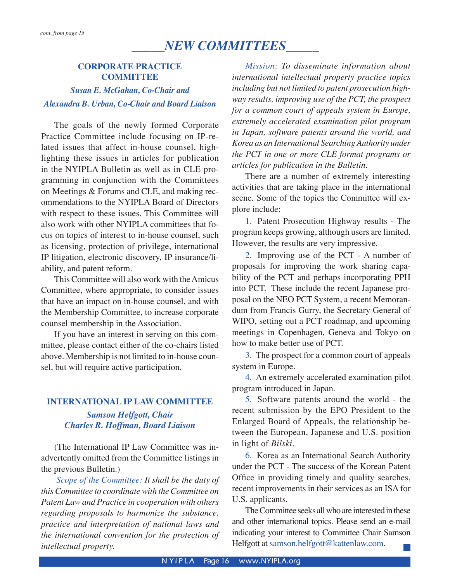# *\_\_\_\_\_NEW COMMITTEES\_\_\_\_\_*

## **CORPORATE PRACTICE COMMITTEE**

# *Susan E. McGahan, Co-Chair and Alexandra B. Urban, Co-Chair and Board Liaison*

 The goals of the newly formed Corporate Practice Committee include focusing on IP-related issues that affect in-house counsel, highlighting these issues in articles for publication in the NYIPLA Bulletin as well as in CLE programming in conjunction with the Committees on Meetings & Forums and CLE, and making recommendations to the NYIPLA Board of Directors with respect to these issues. This Committee will also work with other NYIPLA committees that focus on topics of interest to in-house counsel, such as licensing, protection of privilege, international IP litigation, electronic discovery, IP insurance/liability, and patent reform.

 This Committee will also work with the Amicus Committee, where appropriate, to consider issues that have an impact on in-house counsel, and with the Membership Committee, to increase corporate counsel membership in the Association.

 If you have an interest in serving on this committee, please contact either of the co-chairs listed above. Membership is not limited to in-house counsel, but will require active participation.

# **INTERNATIONAL IP LAW COMMITTEE** *Samson Helfgott, Chair Charles R. Hoffman, Board Liaison*

(The International IP Law Committee was inadvertently omitted from the Committee listings in the previous Bulletin.)

*Scope of the Committee: It shall be the duty of this Committee to coordinate with the Committee on Patent Law and Practice in cooperation with others regarding proposals to harmonize the substance, practice and interpretation of national laws and the international convention for the protection of intellectual property.*

*Mission: To disseminate information about international intellectual property practice topics including but not limited to patent prosecution highway results, improving use of the PCT, the prospect for a common court of appeals system in Europe, extremely accelerated examination pilot program in Japan, software patents around the world, and Korea as an International Searching Authority under the PCT in one or more CLE format programs or articles for publication in the Bulletin.*

 There are a number of extremely interesting activities that are taking place in the international scene. Some of the topics the Committee will explore include:

 1. Patent Prosecution Highway results - The program keeps growing, although users are limited. However, the results are very impressive.

2. Improving use of the PCT - A number of proposals for improving the work sharing capability of the PCT and perhaps incorporating PPH into PCT. These include the recent Japanese proposal on the NEO PCT System, a recent Memorandum from Francis Gurry, the Secretary General of WIPO, setting out a PCT roadmap, and upcoming meetings in Copenhagen, Geneva and Tokyo on how to make better use of PCT.

 3. The prospect for a common court of appeals system in Europe.

 4. An extremely accelerated examination pilot program introduced in Japan.

 5. Software patents around the world - the recent submission by the EPO President to the Enlarged Board of Appeals, the relationship between the European, Japanese and U.S. position in light of *Bilski*.

 6. Korea as an International Search Authority under the PCT - The success of the Korean Patent Office in providing timely and quality searches, recent improvements in their services as an ISA for U.S. applicants.

 The Committee seeks all who are interested in these and other international topics. Please send an e-mail indicating your interest to Committee Chair Samson Helfgott at samson.helfgott@kattenlaw.com.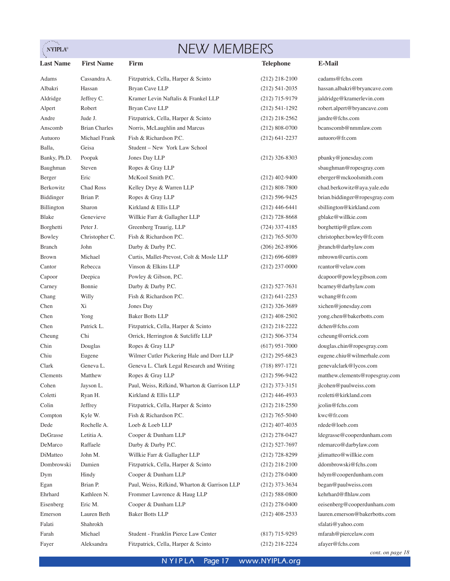# $\sum_{i=1}^{\infty}$

# NEW MEMBERS

| <b>Last Name</b> | <b>First Name</b>    | Firm                                         | <b>Telephone</b>   | E-Mail                         |
|------------------|----------------------|----------------------------------------------|--------------------|--------------------------------|
| Adams            | Cassandra A.         | Fitzpatrick, Cella, Harper & Scinto          | $(212)$ 218-2100   | cadams@fchs.com                |
| Albakri          | Hassan               | Bryan Cave LLP                               | $(212)$ 541-2035   | hassan.albakri@bryancave.com   |
| Aldridge         | Jeffrey C.           | Kramer Levin Naftalis & Frankel LLP          | $(212)$ 715-9179   | jaldridge@kramerlevin.com      |
| Alpert           | Robert               | Bryan Cave LLP                               | $(212)$ 541-1292   | robert.alpert@bryancave.com    |
| Andre            | Jude J.              | Fitzpatrick, Cella, Harper & Scinto          | $(212)$ 218-2562   | jandre@fchs.com                |
| Anscomb          | <b>Brian Charles</b> | Norris, McLaughlin and Marcus                | $(212)$ 808-0700   | bcanscomb@nmmlaw.com           |
| Autuoro          | Michael Frank        | Fish & Richardson P.C.                       | $(212)$ 641-2237   | autuoro@fr.com                 |
| Balla,           | Geisa                | Student - New York Law School                |                    |                                |
| Banky, Ph.D.     | Poopak               | Jones Day LLP                                | $(212)$ 326-8303   | pbanky@jonesday.com            |
| Baughman         | Steven               | Ropes & Gray LLP                             |                    | sbaughman@ropesgray.com        |
| Berger           | Eric                 | McKool Smith P.C.                            | $(212)$ 402-9400   | eberger@mckoolsmith.com        |
| Berkowitz        | Chad Ross            | Kelley Drye & Warren LLP                     | $(212)$ 808-7800   | chad.berkowitz@aya.yale.edu    |
| Biddinger        | Brian P.             | Ropes & Gray LLP                             | $(212)$ 596-9425   | brian.biddinger@ropesgray.com  |
| Billington       | Sharon               | Kirkland & Ellis LLP                         | $(212)$ 446-6441   | sbillington@kirkland.com       |
| Blake            | Genevieve            | Willkie Farr & Gallagher LLP                 | $(212)$ 728-8668   | gblake@willkie.com             |
| Borghetti        | Peter J.             | Greenberg Traurig, LLP                       | $(724)$ 337-4185   | borghettip@gtlaw.com           |
| Bowley           | Christopher C.       | Fish & Richardson P.C.                       | $(212)$ 765-5070   | christopher.bowley@fr.com      |
| <b>Branch</b>    | John                 | Darby & Darby P.C.                           | $(206)$ 262-8906   | jbranch@darbylaw.com           |
| <b>Brown</b>     | Michael              | Curtis, Mallet-Prevost, Colt & Mosle LLP     | $(212)$ 696-6089   | mbrown@curtis.com              |
| Cantor           | Rebecca              | Vinson & Elkins LLP                          | $(212)$ 237-0000   | rcantor@velaw.com              |
| Capoor           | Deepica              | Powley & Gibson, P.C.                        |                    | dcapoor@powleygibson.com       |
| Carney           | Bonnie               | Darby & Darby P.C.                           | $(212)$ 527-7631   | bcarney@darbylaw.com           |
| Chang            | Willy                | Fish & Richardson P.C.                       | $(212)$ 641-2253   | wchang@fr.com                  |
| Chen             | Xi                   | Jones Day                                    | $(212)$ 326-3689   | xichen@jonesday.com            |
| Chen             | Yong                 | <b>Baker Botts LLP</b>                       | $(212)$ 408-2502   | yong.chen@bakerbotts.com       |
| Chen             | Patrick L.           | Fitzpatrick, Cella, Harper & Scinto          | $(212)$ 218-2222   | dchen@fchs.com                 |
| Cheung           | Chi                  | Orrick, Herrington & Sutcliffe LLP           | $(212) 506 - 3734$ | ccheung@orrick.com             |
| Chin             | Douglas              | Ropes & Gray LLP                             | $(617)$ 951-7000   | douglas.chin@ropesgray.com     |
| Chiu             | Eugene               | Wilmer Cutler Pickering Hale and Dorr LLP    | $(212)$ 295-6823   | eugene.chiu@wilmerhale.com     |
| Clark            | Geneva L.            | Geneva L. Clark Legal Research and Writing   | $(718) 897 - 1721$ | genevalclark@lycos.com         |
| Clements         | Matthew              | Ropes & Gray LLP                             | $(212) 596 - 9422$ | matthew.clements@ropesgray.com |
| Cohen            | Jayson L.            | Paul, Weiss, Rifkind, Wharton & Garrison LLP | $(212)$ 373-3151   | ilcohen@paulweiss.com          |
| Coletti          | Ryan H.              | Kirkland & Ellis LLP                         | $(212)$ 446-4933   | rcoletti@kirkland.com          |
| Colin            | Jeffrey              | Fitzpatrick, Cella, Harper & Scinto          | $(212)$ 218-2550   | jcolin@fchs.com                |
| Compton          | Kyle W.              | Fish & Richardson P.C.                       | $(212)$ 765-5040   | kwc@fr.com                     |
| Dede             | Rochelle A.          | Loeb & Loeb LLP                              | $(212)$ 407-4035   | rdede@loeb.com                 |
| DeGrasse         | Letitia A.           | Cooper & Dunham LLP                          | $(212)$ 278-0427   | ldegrasse@cooperdunham.com     |
| DeMarco          | Raffaele             | Darby & Darby P.C.                           | $(212)$ 527-7697   | rdemarco@darbylaw.com          |
| DiMatteo         | John M.              | Willkie Farr & Gallagher LLP                 | $(212)$ 728-8299   | jdimatteo@willkie.com          |
| Dombrowski       | Damien               | Fitzpatrick, Cella, Harper & Scinto          | $(212)$ 218-2100   | ddombrowski@fchs.com           |
| Dym              | Hindy                | Cooper & Dunham LLP                          | $(212)$ 278-0400   | hdym@cooperdunham.com          |
| Egan             | Brian P.             | Paul, Weiss, Rifkind, Wharton & Garrison LLP | $(212)$ 373-3634   | began@paulweiss.com            |
| Ehrhard          | Kathleen N.          | Frommer Lawrence & Haug LLP                  | $(212)$ 588-0800   | kehrhard@flhlaw.com            |
| Eisenberg        | Eric M.              | Cooper & Dunham LLP                          | $(212)$ 278-0400   | eeisenberg@cooperdunham.com    |
| Emerson          | Lauren Beth          | <b>Baker Botts LLP</b>                       | $(212)$ 408-2533   | lauren.emerson@bakerbotts.com  |
| Falati           | Shahrokh             |                                              |                    | sfalati@yahoo.com              |
| Farah            | Michael              | Student - Franklin Pierce Law Center         | $(817)$ 715-9293   | mfarah@piercelaw.com           |
| Fayer            | Aleksandra           | Fitzpatrick, Cella, Harper & Scinto          | $(212)$ 218-2224   | afayer@fchs.com                |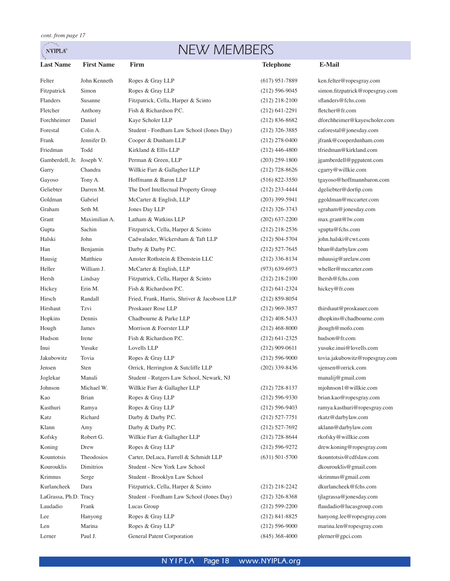. An  $\ensuremath{\mathbf{NYIPLA}}^\circledast$ 

# NEW MEMBERS

| <b>Last Name</b>          | <b>First Name</b> | Firm                                         | <b>Telephone</b>   | <b>E-Mail</b>                   |
|---------------------------|-------------------|----------------------------------------------|--------------------|---------------------------------|
| Felter                    | John Kenneth      | Ropes & Gray LLP                             | $(617)$ 951-7889   | ken.felter@ropesgray.com        |
| Fitzpatrick               | Simon             | Ropes & Gray LLP                             | $(212)$ 596-9045   | simon.fitzpatrick@ropesgray.com |
| Flanders                  | Susanne           | Fitzpatrick, Cella, Harper & Scinto          | $(212)$ 218-2100   | sflanders@fchs.com              |
| Fletcher                  | Anthony           | Fish & Richardson P.C.                       | $(212)$ 641-2291   | fletcher@fr.com                 |
| Forchheimer               | Daniel            | Kaye Scholer LLP                             | $(212) 836 - 8682$ | dforchheimer@kayescholer.com    |
| Forestal                  | Colin A.          | Student - Fordham Law School (Jones Day)     | $(212)$ 326-3885   | caforestal@jonesday.com         |
| Frank                     | Jennifer D.       | Cooper & Dunham LLP                          | $(212)$ 278-0400   | jfrank@cooperdunham.com         |
| Friedman                  | Todd              | Kirkland & Ellis LLP                         | $(212)$ 446-4800   | tfriedman@kirkland.com          |
| Gamberdell, Jr. Joseph V. |                   | Perman & Green, LLP                          | $(203)$ 259-1800   | jgamberdell@pgpatent.com        |
| Garry                     | Chandra           | Willkie Farr & Gallagher LLP                 | $(212)$ 728-8626   | cgarry@willkie.com              |
| Gayoso                    | Tony A.           | Hoffmann & Baron LLP                         | $(516)$ 822-3550   | tgayoso@hoffmannbaron.com       |
| Geliebter                 | Darren M.         | The Dorf Intellectual Property Group         | $(212)$ 233-4444   | dgeliebter@dorfip.com           |
| Goldman                   | Gabriel           | McCarter & English, LLP                      | $(203)$ 399-5941   | ggoldman@mccarter.com           |
| Graham                    | Seth M.           | Jones Day LLP                                | $(212)$ 326-3743   | sgraham@jonesday.com            |
| Grant                     | Maximilian A.     | Latham & Watkins LLP                         | $(202)$ 637-2200   | max.grant@lw.com                |
| Gupta                     | Sachin            | Fitzpatrick, Cella, Harper & Scinto          | $(212)$ 218-2536   | sgupta@fchs.com                 |
| Halski                    | John              | Cadwalader, Wickersham & Taft LLP            | $(212) 504 - 5704$ | john.halski@cwt.com             |
| Han                       | Benjamin          | Darby & Darby P.C.                           | $(212)$ 527-7645   | bhan@darbylaw.com               |
| Hausig                    | Matthieu          | Amster Rothstein & Ebenstein LLC             | $(212)$ 336-8134   | mhausig@arelaw.com              |
| Heller                    | William J.        | McCarter & English, LLP                      | $(973) 639 - 6973$ | wheller@mccarter.com            |
| Hersh                     | Lindsay           | Fitzpatrick, Cella, Harper & Scinto          | $(212)$ 218-2100   | lhersh@fchs.com                 |
| Hickey                    | Erin M.           | Fish & Richardson P.C.                       | $(212) 641 - 2324$ | hickey@fr.com                   |
| Hirsch                    | Randall           | Fried, Frank, Harris, Shriver & Jacobson LLP | $(212)$ 859-8054   |                                 |
| Hirshaut                  | Tzvi              | Proskauer Rose LLP                           | $(212)$ 969-3857   | thirshaut@proskauer.com         |
| Hopkins                   | Dennis            | Chadbourne & Parke LLP                       | $(212)$ 408-5433   | dhopkins@chadbourne.com         |
| Hough                     | James             | Morrison & Foerster LLP                      | $(212)$ 468-8000   | jhough@mofo.com                 |
| Hudson                    | Irene             | Fish & Richardson P.C.                       | $(212)$ 641-2325   | hudson@fr.com                   |
| Inui                      | Yusuke            | Lovells LLP                                  | $(212)$ 909-0611   | yusuke.inui@lovells.com         |
| Jakubowitz                | Tovia             | Ropes & Gray LLP                             | $(212) 596 - 9000$ | tovia.jakubowitz@ropesgray.com  |
| Jensen                    | Sten              | Orrick, Herrington & Sutcliffe LLP           | $(202)$ 339-8436   | sjensen@orrick.com              |
| Joglekar                  | Manali            | Student - Rutgers Law School, Newark, NJ     |                    | manalij@gmail.com               |
| Johnson                   | Michael W.        | Willkie Farr & Gallagher LLP                 | $(212)$ 728-8137   | mjohnson1@willkie.com           |
| Kao                       | <b>Brian</b>      | Ropes & Gray LLP                             | $(212)$ 596-9330   | brian.kao@ropesgray.com         |
| Kasthuri                  | Ramya             | Ropes & Gray LLP                             | $(212) 596 - 9403$ | ramya.kasthuri@ropesgray.com    |
| Katz                      | Richard           | Darby & Darby P.C.                           | $(212)$ 527-7751   | rkatz@darbylaw.com              |
| Klann                     | Amy               | Darby & Darby P.C.                           | $(212)$ 527-7692   | aklann@darbylaw.com             |
| Kofsky                    | Robert G.         | Willkie Farr & Gallagher LLP                 | $(212)$ 728-8644   | rkofsky@willkie.com             |
| Koning                    | Drew              | Ropes & Gray LLP                             | $(212) 596 - 9272$ | drew.koning@ropesgray.com       |
| Kountotsis                | Theodosios        | Carter, DeLuca, Farrell & Schmidt LLP        | $(631)$ 501-5700   | tkountotsis@cdfslaw.com         |
| Kourouklis                | Dimitrios         | Student - New York Law School                |                    | dkourouklis@gmail.com           |
| Krimnus                   | Serge             | Student - Brooklyn Law School                |                    | skrimnus@gmail.com              |
| Kurlancheek               | Dara              | Fitzpatrick, Cella, Harper & Scinto          | $(212)$ 218-2242   | dkurlancheek@fchs.com           |
| LaGrassa, Ph.D. Tracy     |                   | Student - Fordham Law School (Jones Day)     | $(212)$ 326-8368   | tjlagrassa@jonesday.com         |
| Laudadio                  | Frank             | Lucas Group                                  | $(212)$ 599-2200   | flaudadio@lucasgroup.com        |
| Lee                       | Hanyong           | Ropes & Gray LLP                             | $(212)$ 841-8825   | hanyong.lee@ropesgray.com       |
| Len                       | Marina            | Ropes & Gray LLP                             | $(212) 596 - 9000$ | marina.len@ropesgray.com        |
| Lerner                    | Paul J.           | General Patent Corporation                   | $(845)$ 368-4000   | plerner@gpci.com                |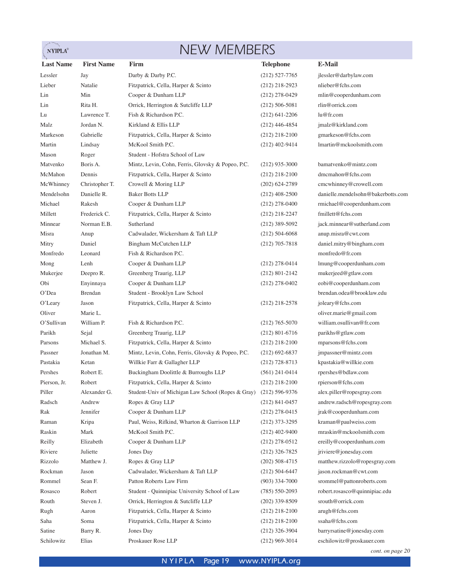# NEW MEMBERS

| <b>First Name</b><br><b>E-Mail</b><br><b>Last Name</b><br>Firm<br><b>Telephone</b><br>Darby & Darby P.C.<br>$(212)$ 527-7765<br>jlessler@darbylaw.com<br>Lessler<br>Jay<br>nlieber@fchs.com<br>Lieber<br>Natalie<br>Fitzpatrick, Cella, Harper & Scinto<br>$(212)$ 218-2923<br>Cooper & Dunham LLP<br>Min<br>mlin@cooperdunham.com<br>Lin<br>$(212)$ 278-0429<br>rlin@orrick.com<br>Rita H.<br>Orrick, Herrington & Sutcliffe LLP<br>Lin<br>$(212)$ 506-5081<br>Fish & Richardson P.C.<br>Lawrence T.<br>lu@fr.com<br>Lu<br>$(212)$ 641-2206<br>Kirkland & Ellis LLP<br>Malz<br>Jordan N.<br>jmalz@kirkland.com<br>$(212)$ 446-4854<br>gmarkeson@fchs.com<br>Markeson<br>Gabrielle<br>Fitzpatrick, Cella, Harper & Scinto<br>$(212)$ 218-2100<br>lmartin@mckoolsmith.com<br>Lindsay<br>McKool Smith P.C.<br>Martin<br>$(212)$ 402-9414<br>Student - Hofstra School of Law<br>Mason<br>Roger<br>bamatvenko@mintz.com<br>Boris A.<br>Matvenko<br>Mintz, Levin, Cohn, Ferris, Glovsky & Popeo, P.C.<br>$(212)$ 935-3000<br>dmcmahon@fchs.com<br>McMahon<br>Fitzpatrick, Cella, Harper & Scinto<br>Dennis<br>$(212)$ 218-2100<br>Crowell & Moring LLP<br>cmcwhinney@crowell.com<br>McWhinney<br>Christopher T.<br>$(202)$ 624-2789<br>Danielle R.<br><b>Baker Botts LLP</b><br>danielle.mendelsohn@bakerbotts.com<br>Mendelsohn<br>$(212)$ 408-2500<br>Michael<br>Rakesh<br>Cooper & Dunham LLP<br>rmichael@cooperdunham.com<br>$(212)$ 278-0400<br>Fitzpatrick, Cella, Harper & Scinto<br>fmillett@fchs.com<br>Millett<br>Frederick C.<br>$(212)$ 218-2247<br>Norman E.B.<br>Sutherland<br>jack.minnear@sutherland.com<br>Minnear<br>$(212)$ 389-5092<br>Cadwalader, Wickersham & Taft LLP<br>anup.misra@cwt.com<br>Misra<br>$(212)$ 504-6068<br>Anup<br>Daniel<br>Bingham McCutchen LLP<br>daniel.mitry@bingham.com<br>Mitry<br>$(212)$ 705-7818<br>monfredo@fr.com<br>Fish & Richardson P.C.<br>Monfredo<br>Leonard<br>Lenh<br>Cooper & Dunham LLP<br>lmung@cooperdunham.com<br>$(212)$ 278-0414<br>Mong<br>Mukerjee<br>Greenberg Traurig, LLP<br>mukerjeed@gtlaw.com<br>Deepro R.<br>$(212)$ 801-2142<br>eobi@cooperdunham.com<br>Obi<br>Enyinnaya<br>Cooper & Dunham LLP<br>$(212)$ 278-0402<br>O'Dea<br>Student - Brooklyn Law School<br>brendan.odea@brooklaw.edu<br><b>Brendan</b><br>joleary@fchs.com<br>$O'$ Leary<br>Jason<br>Fitzpatrick, Cella, Harper & Scinto<br>$(212)$ 218-2578<br>Oliver<br>Marie L.<br>oliver.marie@gmail.com<br>william.osullivan@fr.com<br>William P.<br>Fish & Richardson P.C.<br>O'Sullivan<br>$(212)$ 765-5070<br>Parikh<br>Sejal<br>Greenberg Traurig, LLP<br>parikhs@gtlaw.com<br>$(212)$ 801-6716<br>Michael S.<br>Fitzpatrick, Cella, Harper & Scinto<br>mparsons@fchs.com<br>Parsons<br>$(212)$ 218-2100<br>Jonathan M.<br>Mintz, Levin, Cohn, Ferris, Glovsky & Popeo, P.C.<br>impassner@mintz.com<br>Passner<br>$(212)$ 692-6837<br>kpastakia@willkie.com<br>Pastakia<br>Willkie Farr & Gallagher LLP<br>$(212)$ 728-8713<br>Ketan<br>rpershes@bdlaw.com<br>Pershes<br>Robert E.<br>Buckingham Doolittle & Burroughs LLP<br>$(561)$ 241-0414<br>Pierson, Jr.<br>Robert<br>Fitzpatrick, Cella, Harper & Scinto<br>$(212)$ 218-2100<br>rpierson@fchs.com<br>Piller<br>Alexander G.<br>Student-Univ of Michigan Law School (Ropes & Gray)<br>$(212) 596 - 9376$<br>alex.piller@ropesgray.com<br>Radsch<br>Andrew<br>Ropes & Gray LLP<br>andrew.radsch@ropesgray.com<br>$(212)$ 841-0457<br>jrak@cooperdunham.com<br>Jennifer<br>Cooper & Dunham LLP<br>Rak<br>$(212)$ 278-0415<br>kraman@paulweiss.com<br>Kripa<br>Paul, Weiss, Rifkind, Wharton & Garrison LLP<br>Raman<br>$(212)$ 373-3295<br>mraskin@mckoolsmith.com<br>Raskin<br>McKool Smith P.C.<br>Mark<br>$(212)$ 402-9400<br>Reilly<br>ereilly@cooperdunham.com<br>Elizabeth<br>Cooper & Dunham LLP<br>$(212)$ 278-0512<br>Riviere<br>Juliette<br>Jones Day<br>$(212)$ 326-7825<br>jriviere@jonesday.com<br>Matthew J.<br>Ropes & Gray LLP<br>$(202)$ 508-4715<br>matthew.rizzolo@ropesgray.com<br>Rizzolo<br>jason.rockman@cwt.com<br>Rockman<br>Cadwalader, Wickersham & Taft LLP<br>$(212) 504 - 6447$<br>Jason<br>Patton Roberts Law Firm<br>srommel@pattonroberts.com<br>Rommel<br>Sean F.<br>$(903)$ 334-7000<br>robert.rosasco@quinnipiac.edu<br>Student - Quinnipiac University School of Law<br>Rosasco<br>Robert<br>$(785) 550 - 2093$<br>Orrick, Herrington & Sutcliffe LLP<br>srouth@orrick.com<br>Routh<br>Steven J.<br>$(202)$ 339-8509<br>Fitzpatrick, Cella, Harper & Scinto<br>arugh@fchs.com<br>Rugh<br>$(212)$ 218-2100<br>Aaron<br>ssaha@fchs.com<br>Saha<br>Fitzpatrick, Cella, Harper & Scinto<br>Soma<br>$(212)$ 218-2100<br>Satine<br>Jones Day<br>$(212)$ 326-3904<br>barryrsatine@jonesday.com<br>Barry R. | state of the Graph<br><b>NYIPLA®</b> | <b>NEW MEMBERS</b> |  |
|---------------------------------------------------------------------------------------------------------------------------------------------------------------------------------------------------------------------------------------------------------------------------------------------------------------------------------------------------------------------------------------------------------------------------------------------------------------------------------------------------------------------------------------------------------------------------------------------------------------------------------------------------------------------------------------------------------------------------------------------------------------------------------------------------------------------------------------------------------------------------------------------------------------------------------------------------------------------------------------------------------------------------------------------------------------------------------------------------------------------------------------------------------------------------------------------------------------------------------------------------------------------------------------------------------------------------------------------------------------------------------------------------------------------------------------------------------------------------------------------------------------------------------------------------------------------------------------------------------------------------------------------------------------------------------------------------------------------------------------------------------------------------------------------------------------------------------------------------------------------------------------------------------------------------------------------------------------------------------------------------------------------------------------------------------------------------------------------------------------------------------------------------------------------------------------------------------------------------------------------------------------------------------------------------------------------------------------------------------------------------------------------------------------------------------------------------------------------------------------------------------------------------------------------------------------------------------------------------------------------------------------------------------------------------------------------------------------------------------------------------------------------------------------------------------------------------------------------------------------------------------------------------------------------------------------------------------------------------------------------------------------------------------------------------------------------------------------------------------------------------------------------------------------------------------------------------------------------------------------------------------------------------------------------------------------------------------------------------------------------------------------------------------------------------------------------------------------------------------------------------------------------------------------------------------------------------------------------------------------------------------------------------------------------------------------------------------------------------------------------------------------------------------------------------------------------------------------------------------------------------------------------------------------------------------------------------------------------------------------------------------------------------------------------------------------------------------------------------------------------------------------------------------------------------------------------------------------------------------------------------------------------------------------------------------------------------------------------------------------------------------------------------------------------------------------------------------------------------------------------------------------------------------------------------------------------------------------------------------------------------------------------------------------------------------------------------------------------------------------|--------------------------------------|--------------------|--|
|                                                                                                                                                                                                                                                                                                                                                                                                                                                                                                                                                                                                                                                                                                                                                                                                                                                                                                                                                                                                                                                                                                                                                                                                                                                                                                                                                                                                                                                                                                                                                                                                                                                                                                                                                                                                                                                                                                                                                                                                                                                                                                                                                                                                                                                                                                                                                                                                                                                                                                                                                                                                                                                                                                                                                                                                                                                                                                                                                                                                                                                                                                                                                                                                                                                                                                                                                                                                                                                                                                                                                                                                                                                                                                                                                                                                                                                                                                                                                                                                                                                                                                                                                                                                                                                                                                                                                                                                                                                                                                                                                                                                                                                                                                                                       |                                      |                    |  |
|                                                                                                                                                                                                                                                                                                                                                                                                                                                                                                                                                                                                                                                                                                                                                                                                                                                                                                                                                                                                                                                                                                                                                                                                                                                                                                                                                                                                                                                                                                                                                                                                                                                                                                                                                                                                                                                                                                                                                                                                                                                                                                                                                                                                                                                                                                                                                                                                                                                                                                                                                                                                                                                                                                                                                                                                                                                                                                                                                                                                                                                                                                                                                                                                                                                                                                                                                                                                                                                                                                                                                                                                                                                                                                                                                                                                                                                                                                                                                                                                                                                                                                                                                                                                                                                                                                                                                                                                                                                                                                                                                                                                                                                                                                                                       |                                      |                    |  |
|                                                                                                                                                                                                                                                                                                                                                                                                                                                                                                                                                                                                                                                                                                                                                                                                                                                                                                                                                                                                                                                                                                                                                                                                                                                                                                                                                                                                                                                                                                                                                                                                                                                                                                                                                                                                                                                                                                                                                                                                                                                                                                                                                                                                                                                                                                                                                                                                                                                                                                                                                                                                                                                                                                                                                                                                                                                                                                                                                                                                                                                                                                                                                                                                                                                                                                                                                                                                                                                                                                                                                                                                                                                                                                                                                                                                                                                                                                                                                                                                                                                                                                                                                                                                                                                                                                                                                                                                                                                                                                                                                                                                                                                                                                                                       |                                      |                    |  |
|                                                                                                                                                                                                                                                                                                                                                                                                                                                                                                                                                                                                                                                                                                                                                                                                                                                                                                                                                                                                                                                                                                                                                                                                                                                                                                                                                                                                                                                                                                                                                                                                                                                                                                                                                                                                                                                                                                                                                                                                                                                                                                                                                                                                                                                                                                                                                                                                                                                                                                                                                                                                                                                                                                                                                                                                                                                                                                                                                                                                                                                                                                                                                                                                                                                                                                                                                                                                                                                                                                                                                                                                                                                                                                                                                                                                                                                                                                                                                                                                                                                                                                                                                                                                                                                                                                                                                                                                                                                                                                                                                                                                                                                                                                                                       |                                      |                    |  |
|                                                                                                                                                                                                                                                                                                                                                                                                                                                                                                                                                                                                                                                                                                                                                                                                                                                                                                                                                                                                                                                                                                                                                                                                                                                                                                                                                                                                                                                                                                                                                                                                                                                                                                                                                                                                                                                                                                                                                                                                                                                                                                                                                                                                                                                                                                                                                                                                                                                                                                                                                                                                                                                                                                                                                                                                                                                                                                                                                                                                                                                                                                                                                                                                                                                                                                                                                                                                                                                                                                                                                                                                                                                                                                                                                                                                                                                                                                                                                                                                                                                                                                                                                                                                                                                                                                                                                                                                                                                                                                                                                                                                                                                                                                                                       |                                      |                    |  |
|                                                                                                                                                                                                                                                                                                                                                                                                                                                                                                                                                                                                                                                                                                                                                                                                                                                                                                                                                                                                                                                                                                                                                                                                                                                                                                                                                                                                                                                                                                                                                                                                                                                                                                                                                                                                                                                                                                                                                                                                                                                                                                                                                                                                                                                                                                                                                                                                                                                                                                                                                                                                                                                                                                                                                                                                                                                                                                                                                                                                                                                                                                                                                                                                                                                                                                                                                                                                                                                                                                                                                                                                                                                                                                                                                                                                                                                                                                                                                                                                                                                                                                                                                                                                                                                                                                                                                                                                                                                                                                                                                                                                                                                                                                                                       |                                      |                    |  |
|                                                                                                                                                                                                                                                                                                                                                                                                                                                                                                                                                                                                                                                                                                                                                                                                                                                                                                                                                                                                                                                                                                                                                                                                                                                                                                                                                                                                                                                                                                                                                                                                                                                                                                                                                                                                                                                                                                                                                                                                                                                                                                                                                                                                                                                                                                                                                                                                                                                                                                                                                                                                                                                                                                                                                                                                                                                                                                                                                                                                                                                                                                                                                                                                                                                                                                                                                                                                                                                                                                                                                                                                                                                                                                                                                                                                                                                                                                                                                                                                                                                                                                                                                                                                                                                                                                                                                                                                                                                                                                                                                                                                                                                                                                                                       |                                      |                    |  |
|                                                                                                                                                                                                                                                                                                                                                                                                                                                                                                                                                                                                                                                                                                                                                                                                                                                                                                                                                                                                                                                                                                                                                                                                                                                                                                                                                                                                                                                                                                                                                                                                                                                                                                                                                                                                                                                                                                                                                                                                                                                                                                                                                                                                                                                                                                                                                                                                                                                                                                                                                                                                                                                                                                                                                                                                                                                                                                                                                                                                                                                                                                                                                                                                                                                                                                                                                                                                                                                                                                                                                                                                                                                                                                                                                                                                                                                                                                                                                                                                                                                                                                                                                                                                                                                                                                                                                                                                                                                                                                                                                                                                                                                                                                                                       |                                      |                    |  |
|                                                                                                                                                                                                                                                                                                                                                                                                                                                                                                                                                                                                                                                                                                                                                                                                                                                                                                                                                                                                                                                                                                                                                                                                                                                                                                                                                                                                                                                                                                                                                                                                                                                                                                                                                                                                                                                                                                                                                                                                                                                                                                                                                                                                                                                                                                                                                                                                                                                                                                                                                                                                                                                                                                                                                                                                                                                                                                                                                                                                                                                                                                                                                                                                                                                                                                                                                                                                                                                                                                                                                                                                                                                                                                                                                                                                                                                                                                                                                                                                                                                                                                                                                                                                                                                                                                                                                                                                                                                                                                                                                                                                                                                                                                                                       |                                      |                    |  |
|                                                                                                                                                                                                                                                                                                                                                                                                                                                                                                                                                                                                                                                                                                                                                                                                                                                                                                                                                                                                                                                                                                                                                                                                                                                                                                                                                                                                                                                                                                                                                                                                                                                                                                                                                                                                                                                                                                                                                                                                                                                                                                                                                                                                                                                                                                                                                                                                                                                                                                                                                                                                                                                                                                                                                                                                                                                                                                                                                                                                                                                                                                                                                                                                                                                                                                                                                                                                                                                                                                                                                                                                                                                                                                                                                                                                                                                                                                                                                                                                                                                                                                                                                                                                                                                                                                                                                                                                                                                                                                                                                                                                                                                                                                                                       |                                      |                    |  |
|                                                                                                                                                                                                                                                                                                                                                                                                                                                                                                                                                                                                                                                                                                                                                                                                                                                                                                                                                                                                                                                                                                                                                                                                                                                                                                                                                                                                                                                                                                                                                                                                                                                                                                                                                                                                                                                                                                                                                                                                                                                                                                                                                                                                                                                                                                                                                                                                                                                                                                                                                                                                                                                                                                                                                                                                                                                                                                                                                                                                                                                                                                                                                                                                                                                                                                                                                                                                                                                                                                                                                                                                                                                                                                                                                                                                                                                                                                                                                                                                                                                                                                                                                                                                                                                                                                                                                                                                                                                                                                                                                                                                                                                                                                                                       |                                      |                    |  |
|                                                                                                                                                                                                                                                                                                                                                                                                                                                                                                                                                                                                                                                                                                                                                                                                                                                                                                                                                                                                                                                                                                                                                                                                                                                                                                                                                                                                                                                                                                                                                                                                                                                                                                                                                                                                                                                                                                                                                                                                                                                                                                                                                                                                                                                                                                                                                                                                                                                                                                                                                                                                                                                                                                                                                                                                                                                                                                                                                                                                                                                                                                                                                                                                                                                                                                                                                                                                                                                                                                                                                                                                                                                                                                                                                                                                                                                                                                                                                                                                                                                                                                                                                                                                                                                                                                                                                                                                                                                                                                                                                                                                                                                                                                                                       |                                      |                    |  |
|                                                                                                                                                                                                                                                                                                                                                                                                                                                                                                                                                                                                                                                                                                                                                                                                                                                                                                                                                                                                                                                                                                                                                                                                                                                                                                                                                                                                                                                                                                                                                                                                                                                                                                                                                                                                                                                                                                                                                                                                                                                                                                                                                                                                                                                                                                                                                                                                                                                                                                                                                                                                                                                                                                                                                                                                                                                                                                                                                                                                                                                                                                                                                                                                                                                                                                                                                                                                                                                                                                                                                                                                                                                                                                                                                                                                                                                                                                                                                                                                                                                                                                                                                                                                                                                                                                                                                                                                                                                                                                                                                                                                                                                                                                                                       |                                      |                    |  |
|                                                                                                                                                                                                                                                                                                                                                                                                                                                                                                                                                                                                                                                                                                                                                                                                                                                                                                                                                                                                                                                                                                                                                                                                                                                                                                                                                                                                                                                                                                                                                                                                                                                                                                                                                                                                                                                                                                                                                                                                                                                                                                                                                                                                                                                                                                                                                                                                                                                                                                                                                                                                                                                                                                                                                                                                                                                                                                                                                                                                                                                                                                                                                                                                                                                                                                                                                                                                                                                                                                                                                                                                                                                                                                                                                                                                                                                                                                                                                                                                                                                                                                                                                                                                                                                                                                                                                                                                                                                                                                                                                                                                                                                                                                                                       |                                      |                    |  |
|                                                                                                                                                                                                                                                                                                                                                                                                                                                                                                                                                                                                                                                                                                                                                                                                                                                                                                                                                                                                                                                                                                                                                                                                                                                                                                                                                                                                                                                                                                                                                                                                                                                                                                                                                                                                                                                                                                                                                                                                                                                                                                                                                                                                                                                                                                                                                                                                                                                                                                                                                                                                                                                                                                                                                                                                                                                                                                                                                                                                                                                                                                                                                                                                                                                                                                                                                                                                                                                                                                                                                                                                                                                                                                                                                                                                                                                                                                                                                                                                                                                                                                                                                                                                                                                                                                                                                                                                                                                                                                                                                                                                                                                                                                                                       |                                      |                    |  |
|                                                                                                                                                                                                                                                                                                                                                                                                                                                                                                                                                                                                                                                                                                                                                                                                                                                                                                                                                                                                                                                                                                                                                                                                                                                                                                                                                                                                                                                                                                                                                                                                                                                                                                                                                                                                                                                                                                                                                                                                                                                                                                                                                                                                                                                                                                                                                                                                                                                                                                                                                                                                                                                                                                                                                                                                                                                                                                                                                                                                                                                                                                                                                                                                                                                                                                                                                                                                                                                                                                                                                                                                                                                                                                                                                                                                                                                                                                                                                                                                                                                                                                                                                                                                                                                                                                                                                                                                                                                                                                                                                                                                                                                                                                                                       |                                      |                    |  |
|                                                                                                                                                                                                                                                                                                                                                                                                                                                                                                                                                                                                                                                                                                                                                                                                                                                                                                                                                                                                                                                                                                                                                                                                                                                                                                                                                                                                                                                                                                                                                                                                                                                                                                                                                                                                                                                                                                                                                                                                                                                                                                                                                                                                                                                                                                                                                                                                                                                                                                                                                                                                                                                                                                                                                                                                                                                                                                                                                                                                                                                                                                                                                                                                                                                                                                                                                                                                                                                                                                                                                                                                                                                                                                                                                                                                                                                                                                                                                                                                                                                                                                                                                                                                                                                                                                                                                                                                                                                                                                                                                                                                                                                                                                                                       |                                      |                    |  |
|                                                                                                                                                                                                                                                                                                                                                                                                                                                                                                                                                                                                                                                                                                                                                                                                                                                                                                                                                                                                                                                                                                                                                                                                                                                                                                                                                                                                                                                                                                                                                                                                                                                                                                                                                                                                                                                                                                                                                                                                                                                                                                                                                                                                                                                                                                                                                                                                                                                                                                                                                                                                                                                                                                                                                                                                                                                                                                                                                                                                                                                                                                                                                                                                                                                                                                                                                                                                                                                                                                                                                                                                                                                                                                                                                                                                                                                                                                                                                                                                                                                                                                                                                                                                                                                                                                                                                                                                                                                                                                                                                                                                                                                                                                                                       |                                      |                    |  |
|                                                                                                                                                                                                                                                                                                                                                                                                                                                                                                                                                                                                                                                                                                                                                                                                                                                                                                                                                                                                                                                                                                                                                                                                                                                                                                                                                                                                                                                                                                                                                                                                                                                                                                                                                                                                                                                                                                                                                                                                                                                                                                                                                                                                                                                                                                                                                                                                                                                                                                                                                                                                                                                                                                                                                                                                                                                                                                                                                                                                                                                                                                                                                                                                                                                                                                                                                                                                                                                                                                                                                                                                                                                                                                                                                                                                                                                                                                                                                                                                                                                                                                                                                                                                                                                                                                                                                                                                                                                                                                                                                                                                                                                                                                                                       |                                      |                    |  |
|                                                                                                                                                                                                                                                                                                                                                                                                                                                                                                                                                                                                                                                                                                                                                                                                                                                                                                                                                                                                                                                                                                                                                                                                                                                                                                                                                                                                                                                                                                                                                                                                                                                                                                                                                                                                                                                                                                                                                                                                                                                                                                                                                                                                                                                                                                                                                                                                                                                                                                                                                                                                                                                                                                                                                                                                                                                                                                                                                                                                                                                                                                                                                                                                                                                                                                                                                                                                                                                                                                                                                                                                                                                                                                                                                                                                                                                                                                                                                                                                                                                                                                                                                                                                                                                                                                                                                                                                                                                                                                                                                                                                                                                                                                                                       |                                      |                    |  |
|                                                                                                                                                                                                                                                                                                                                                                                                                                                                                                                                                                                                                                                                                                                                                                                                                                                                                                                                                                                                                                                                                                                                                                                                                                                                                                                                                                                                                                                                                                                                                                                                                                                                                                                                                                                                                                                                                                                                                                                                                                                                                                                                                                                                                                                                                                                                                                                                                                                                                                                                                                                                                                                                                                                                                                                                                                                                                                                                                                                                                                                                                                                                                                                                                                                                                                                                                                                                                                                                                                                                                                                                                                                                                                                                                                                                                                                                                                                                                                                                                                                                                                                                                                                                                                                                                                                                                                                                                                                                                                                                                                                                                                                                                                                                       |                                      |                    |  |
|                                                                                                                                                                                                                                                                                                                                                                                                                                                                                                                                                                                                                                                                                                                                                                                                                                                                                                                                                                                                                                                                                                                                                                                                                                                                                                                                                                                                                                                                                                                                                                                                                                                                                                                                                                                                                                                                                                                                                                                                                                                                                                                                                                                                                                                                                                                                                                                                                                                                                                                                                                                                                                                                                                                                                                                                                                                                                                                                                                                                                                                                                                                                                                                                                                                                                                                                                                                                                                                                                                                                                                                                                                                                                                                                                                                                                                                                                                                                                                                                                                                                                                                                                                                                                                                                                                                                                                                                                                                                                                                                                                                                                                                                                                                                       |                                      |                    |  |
|                                                                                                                                                                                                                                                                                                                                                                                                                                                                                                                                                                                                                                                                                                                                                                                                                                                                                                                                                                                                                                                                                                                                                                                                                                                                                                                                                                                                                                                                                                                                                                                                                                                                                                                                                                                                                                                                                                                                                                                                                                                                                                                                                                                                                                                                                                                                                                                                                                                                                                                                                                                                                                                                                                                                                                                                                                                                                                                                                                                                                                                                                                                                                                                                                                                                                                                                                                                                                                                                                                                                                                                                                                                                                                                                                                                                                                                                                                                                                                                                                                                                                                                                                                                                                                                                                                                                                                                                                                                                                                                                                                                                                                                                                                                                       |                                      |                    |  |
|                                                                                                                                                                                                                                                                                                                                                                                                                                                                                                                                                                                                                                                                                                                                                                                                                                                                                                                                                                                                                                                                                                                                                                                                                                                                                                                                                                                                                                                                                                                                                                                                                                                                                                                                                                                                                                                                                                                                                                                                                                                                                                                                                                                                                                                                                                                                                                                                                                                                                                                                                                                                                                                                                                                                                                                                                                                                                                                                                                                                                                                                                                                                                                                                                                                                                                                                                                                                                                                                                                                                                                                                                                                                                                                                                                                                                                                                                                                                                                                                                                                                                                                                                                                                                                                                                                                                                                                                                                                                                                                                                                                                                                                                                                                                       |                                      |                    |  |
|                                                                                                                                                                                                                                                                                                                                                                                                                                                                                                                                                                                                                                                                                                                                                                                                                                                                                                                                                                                                                                                                                                                                                                                                                                                                                                                                                                                                                                                                                                                                                                                                                                                                                                                                                                                                                                                                                                                                                                                                                                                                                                                                                                                                                                                                                                                                                                                                                                                                                                                                                                                                                                                                                                                                                                                                                                                                                                                                                                                                                                                                                                                                                                                                                                                                                                                                                                                                                                                                                                                                                                                                                                                                                                                                                                                                                                                                                                                                                                                                                                                                                                                                                                                                                                                                                                                                                                                                                                                                                                                                                                                                                                                                                                                                       |                                      |                    |  |
|                                                                                                                                                                                                                                                                                                                                                                                                                                                                                                                                                                                                                                                                                                                                                                                                                                                                                                                                                                                                                                                                                                                                                                                                                                                                                                                                                                                                                                                                                                                                                                                                                                                                                                                                                                                                                                                                                                                                                                                                                                                                                                                                                                                                                                                                                                                                                                                                                                                                                                                                                                                                                                                                                                                                                                                                                                                                                                                                                                                                                                                                                                                                                                                                                                                                                                                                                                                                                                                                                                                                                                                                                                                                                                                                                                                                                                                                                                                                                                                                                                                                                                                                                                                                                                                                                                                                                                                                                                                                                                                                                                                                                                                                                                                                       |                                      |                    |  |
|                                                                                                                                                                                                                                                                                                                                                                                                                                                                                                                                                                                                                                                                                                                                                                                                                                                                                                                                                                                                                                                                                                                                                                                                                                                                                                                                                                                                                                                                                                                                                                                                                                                                                                                                                                                                                                                                                                                                                                                                                                                                                                                                                                                                                                                                                                                                                                                                                                                                                                                                                                                                                                                                                                                                                                                                                                                                                                                                                                                                                                                                                                                                                                                                                                                                                                                                                                                                                                                                                                                                                                                                                                                                                                                                                                                                                                                                                                                                                                                                                                                                                                                                                                                                                                                                                                                                                                                                                                                                                                                                                                                                                                                                                                                                       |                                      |                    |  |
|                                                                                                                                                                                                                                                                                                                                                                                                                                                                                                                                                                                                                                                                                                                                                                                                                                                                                                                                                                                                                                                                                                                                                                                                                                                                                                                                                                                                                                                                                                                                                                                                                                                                                                                                                                                                                                                                                                                                                                                                                                                                                                                                                                                                                                                                                                                                                                                                                                                                                                                                                                                                                                                                                                                                                                                                                                                                                                                                                                                                                                                                                                                                                                                                                                                                                                                                                                                                                                                                                                                                                                                                                                                                                                                                                                                                                                                                                                                                                                                                                                                                                                                                                                                                                                                                                                                                                                                                                                                                                                                                                                                                                                                                                                                                       |                                      |                    |  |
|                                                                                                                                                                                                                                                                                                                                                                                                                                                                                                                                                                                                                                                                                                                                                                                                                                                                                                                                                                                                                                                                                                                                                                                                                                                                                                                                                                                                                                                                                                                                                                                                                                                                                                                                                                                                                                                                                                                                                                                                                                                                                                                                                                                                                                                                                                                                                                                                                                                                                                                                                                                                                                                                                                                                                                                                                                                                                                                                                                                                                                                                                                                                                                                                                                                                                                                                                                                                                                                                                                                                                                                                                                                                                                                                                                                                                                                                                                                                                                                                                                                                                                                                                                                                                                                                                                                                                                                                                                                                                                                                                                                                                                                                                                                                       |                                      |                    |  |
|                                                                                                                                                                                                                                                                                                                                                                                                                                                                                                                                                                                                                                                                                                                                                                                                                                                                                                                                                                                                                                                                                                                                                                                                                                                                                                                                                                                                                                                                                                                                                                                                                                                                                                                                                                                                                                                                                                                                                                                                                                                                                                                                                                                                                                                                                                                                                                                                                                                                                                                                                                                                                                                                                                                                                                                                                                                                                                                                                                                                                                                                                                                                                                                                                                                                                                                                                                                                                                                                                                                                                                                                                                                                                                                                                                                                                                                                                                                                                                                                                                                                                                                                                                                                                                                                                                                                                                                                                                                                                                                                                                                                                                                                                                                                       |                                      |                    |  |
|                                                                                                                                                                                                                                                                                                                                                                                                                                                                                                                                                                                                                                                                                                                                                                                                                                                                                                                                                                                                                                                                                                                                                                                                                                                                                                                                                                                                                                                                                                                                                                                                                                                                                                                                                                                                                                                                                                                                                                                                                                                                                                                                                                                                                                                                                                                                                                                                                                                                                                                                                                                                                                                                                                                                                                                                                                                                                                                                                                                                                                                                                                                                                                                                                                                                                                                                                                                                                                                                                                                                                                                                                                                                                                                                                                                                                                                                                                                                                                                                                                                                                                                                                                                                                                                                                                                                                                                                                                                                                                                                                                                                                                                                                                                                       |                                      |                    |  |
|                                                                                                                                                                                                                                                                                                                                                                                                                                                                                                                                                                                                                                                                                                                                                                                                                                                                                                                                                                                                                                                                                                                                                                                                                                                                                                                                                                                                                                                                                                                                                                                                                                                                                                                                                                                                                                                                                                                                                                                                                                                                                                                                                                                                                                                                                                                                                                                                                                                                                                                                                                                                                                                                                                                                                                                                                                                                                                                                                                                                                                                                                                                                                                                                                                                                                                                                                                                                                                                                                                                                                                                                                                                                                                                                                                                                                                                                                                                                                                                                                                                                                                                                                                                                                                                                                                                                                                                                                                                                                                                                                                                                                                                                                                                                       |                                      |                    |  |
|                                                                                                                                                                                                                                                                                                                                                                                                                                                                                                                                                                                                                                                                                                                                                                                                                                                                                                                                                                                                                                                                                                                                                                                                                                                                                                                                                                                                                                                                                                                                                                                                                                                                                                                                                                                                                                                                                                                                                                                                                                                                                                                                                                                                                                                                                                                                                                                                                                                                                                                                                                                                                                                                                                                                                                                                                                                                                                                                                                                                                                                                                                                                                                                                                                                                                                                                                                                                                                                                                                                                                                                                                                                                                                                                                                                                                                                                                                                                                                                                                                                                                                                                                                                                                                                                                                                                                                                                                                                                                                                                                                                                                                                                                                                                       |                                      |                    |  |
|                                                                                                                                                                                                                                                                                                                                                                                                                                                                                                                                                                                                                                                                                                                                                                                                                                                                                                                                                                                                                                                                                                                                                                                                                                                                                                                                                                                                                                                                                                                                                                                                                                                                                                                                                                                                                                                                                                                                                                                                                                                                                                                                                                                                                                                                                                                                                                                                                                                                                                                                                                                                                                                                                                                                                                                                                                                                                                                                                                                                                                                                                                                                                                                                                                                                                                                                                                                                                                                                                                                                                                                                                                                                                                                                                                                                                                                                                                                                                                                                                                                                                                                                                                                                                                                                                                                                                                                                                                                                                                                                                                                                                                                                                                                                       |                                      |                    |  |
|                                                                                                                                                                                                                                                                                                                                                                                                                                                                                                                                                                                                                                                                                                                                                                                                                                                                                                                                                                                                                                                                                                                                                                                                                                                                                                                                                                                                                                                                                                                                                                                                                                                                                                                                                                                                                                                                                                                                                                                                                                                                                                                                                                                                                                                                                                                                                                                                                                                                                                                                                                                                                                                                                                                                                                                                                                                                                                                                                                                                                                                                                                                                                                                                                                                                                                                                                                                                                                                                                                                                                                                                                                                                                                                                                                                                                                                                                                                                                                                                                                                                                                                                                                                                                                                                                                                                                                                                                                                                                                                                                                                                                                                                                                                                       |                                      |                    |  |
|                                                                                                                                                                                                                                                                                                                                                                                                                                                                                                                                                                                                                                                                                                                                                                                                                                                                                                                                                                                                                                                                                                                                                                                                                                                                                                                                                                                                                                                                                                                                                                                                                                                                                                                                                                                                                                                                                                                                                                                                                                                                                                                                                                                                                                                                                                                                                                                                                                                                                                                                                                                                                                                                                                                                                                                                                                                                                                                                                                                                                                                                                                                                                                                                                                                                                                                                                                                                                                                                                                                                                                                                                                                                                                                                                                                                                                                                                                                                                                                                                                                                                                                                                                                                                                                                                                                                                                                                                                                                                                                                                                                                                                                                                                                                       |                                      |                    |  |
|                                                                                                                                                                                                                                                                                                                                                                                                                                                                                                                                                                                                                                                                                                                                                                                                                                                                                                                                                                                                                                                                                                                                                                                                                                                                                                                                                                                                                                                                                                                                                                                                                                                                                                                                                                                                                                                                                                                                                                                                                                                                                                                                                                                                                                                                                                                                                                                                                                                                                                                                                                                                                                                                                                                                                                                                                                                                                                                                                                                                                                                                                                                                                                                                                                                                                                                                                                                                                                                                                                                                                                                                                                                                                                                                                                                                                                                                                                                                                                                                                                                                                                                                                                                                                                                                                                                                                                                                                                                                                                                                                                                                                                                                                                                                       |                                      |                    |  |
|                                                                                                                                                                                                                                                                                                                                                                                                                                                                                                                                                                                                                                                                                                                                                                                                                                                                                                                                                                                                                                                                                                                                                                                                                                                                                                                                                                                                                                                                                                                                                                                                                                                                                                                                                                                                                                                                                                                                                                                                                                                                                                                                                                                                                                                                                                                                                                                                                                                                                                                                                                                                                                                                                                                                                                                                                                                                                                                                                                                                                                                                                                                                                                                                                                                                                                                                                                                                                                                                                                                                                                                                                                                                                                                                                                                                                                                                                                                                                                                                                                                                                                                                                                                                                                                                                                                                                                                                                                                                                                                                                                                                                                                                                                                                       |                                      |                    |  |
|                                                                                                                                                                                                                                                                                                                                                                                                                                                                                                                                                                                                                                                                                                                                                                                                                                                                                                                                                                                                                                                                                                                                                                                                                                                                                                                                                                                                                                                                                                                                                                                                                                                                                                                                                                                                                                                                                                                                                                                                                                                                                                                                                                                                                                                                                                                                                                                                                                                                                                                                                                                                                                                                                                                                                                                                                                                                                                                                                                                                                                                                                                                                                                                                                                                                                                                                                                                                                                                                                                                                                                                                                                                                                                                                                                                                                                                                                                                                                                                                                                                                                                                                                                                                                                                                                                                                                                                                                                                                                                                                                                                                                                                                                                                                       |                                      |                    |  |
|                                                                                                                                                                                                                                                                                                                                                                                                                                                                                                                                                                                                                                                                                                                                                                                                                                                                                                                                                                                                                                                                                                                                                                                                                                                                                                                                                                                                                                                                                                                                                                                                                                                                                                                                                                                                                                                                                                                                                                                                                                                                                                                                                                                                                                                                                                                                                                                                                                                                                                                                                                                                                                                                                                                                                                                                                                                                                                                                                                                                                                                                                                                                                                                                                                                                                                                                                                                                                                                                                                                                                                                                                                                                                                                                                                                                                                                                                                                                                                                                                                                                                                                                                                                                                                                                                                                                                                                                                                                                                                                                                                                                                                                                                                                                       |                                      |                    |  |
|                                                                                                                                                                                                                                                                                                                                                                                                                                                                                                                                                                                                                                                                                                                                                                                                                                                                                                                                                                                                                                                                                                                                                                                                                                                                                                                                                                                                                                                                                                                                                                                                                                                                                                                                                                                                                                                                                                                                                                                                                                                                                                                                                                                                                                                                                                                                                                                                                                                                                                                                                                                                                                                                                                                                                                                                                                                                                                                                                                                                                                                                                                                                                                                                                                                                                                                                                                                                                                                                                                                                                                                                                                                                                                                                                                                                                                                                                                                                                                                                                                                                                                                                                                                                                                                                                                                                                                                                                                                                                                                                                                                                                                                                                                                                       |                                      |                    |  |
|                                                                                                                                                                                                                                                                                                                                                                                                                                                                                                                                                                                                                                                                                                                                                                                                                                                                                                                                                                                                                                                                                                                                                                                                                                                                                                                                                                                                                                                                                                                                                                                                                                                                                                                                                                                                                                                                                                                                                                                                                                                                                                                                                                                                                                                                                                                                                                                                                                                                                                                                                                                                                                                                                                                                                                                                                                                                                                                                                                                                                                                                                                                                                                                                                                                                                                                                                                                                                                                                                                                                                                                                                                                                                                                                                                                                                                                                                                                                                                                                                                                                                                                                                                                                                                                                                                                                                                                                                                                                                                                                                                                                                                                                                                                                       |                                      |                    |  |
|                                                                                                                                                                                                                                                                                                                                                                                                                                                                                                                                                                                                                                                                                                                                                                                                                                                                                                                                                                                                                                                                                                                                                                                                                                                                                                                                                                                                                                                                                                                                                                                                                                                                                                                                                                                                                                                                                                                                                                                                                                                                                                                                                                                                                                                                                                                                                                                                                                                                                                                                                                                                                                                                                                                                                                                                                                                                                                                                                                                                                                                                                                                                                                                                                                                                                                                                                                                                                                                                                                                                                                                                                                                                                                                                                                                                                                                                                                                                                                                                                                                                                                                                                                                                                                                                                                                                                                                                                                                                                                                                                                                                                                                                                                                                       |                                      |                    |  |
|                                                                                                                                                                                                                                                                                                                                                                                                                                                                                                                                                                                                                                                                                                                                                                                                                                                                                                                                                                                                                                                                                                                                                                                                                                                                                                                                                                                                                                                                                                                                                                                                                                                                                                                                                                                                                                                                                                                                                                                                                                                                                                                                                                                                                                                                                                                                                                                                                                                                                                                                                                                                                                                                                                                                                                                                                                                                                                                                                                                                                                                                                                                                                                                                                                                                                                                                                                                                                                                                                                                                                                                                                                                                                                                                                                                                                                                                                                                                                                                                                                                                                                                                                                                                                                                                                                                                                                                                                                                                                                                                                                                                                                                                                                                                       |                                      |                    |  |
|                                                                                                                                                                                                                                                                                                                                                                                                                                                                                                                                                                                                                                                                                                                                                                                                                                                                                                                                                                                                                                                                                                                                                                                                                                                                                                                                                                                                                                                                                                                                                                                                                                                                                                                                                                                                                                                                                                                                                                                                                                                                                                                                                                                                                                                                                                                                                                                                                                                                                                                                                                                                                                                                                                                                                                                                                                                                                                                                                                                                                                                                                                                                                                                                                                                                                                                                                                                                                                                                                                                                                                                                                                                                                                                                                                                                                                                                                                                                                                                                                                                                                                                                                                                                                                                                                                                                                                                                                                                                                                                                                                                                                                                                                                                                       |                                      |                    |  |
|                                                                                                                                                                                                                                                                                                                                                                                                                                                                                                                                                                                                                                                                                                                                                                                                                                                                                                                                                                                                                                                                                                                                                                                                                                                                                                                                                                                                                                                                                                                                                                                                                                                                                                                                                                                                                                                                                                                                                                                                                                                                                                                                                                                                                                                                                                                                                                                                                                                                                                                                                                                                                                                                                                                                                                                                                                                                                                                                                                                                                                                                                                                                                                                                                                                                                                                                                                                                                                                                                                                                                                                                                                                                                                                                                                                                                                                                                                                                                                                                                                                                                                                                                                                                                                                                                                                                                                                                                                                                                                                                                                                                                                                                                                                                       |                                      |                    |  |
|                                                                                                                                                                                                                                                                                                                                                                                                                                                                                                                                                                                                                                                                                                                                                                                                                                                                                                                                                                                                                                                                                                                                                                                                                                                                                                                                                                                                                                                                                                                                                                                                                                                                                                                                                                                                                                                                                                                                                                                                                                                                                                                                                                                                                                                                                                                                                                                                                                                                                                                                                                                                                                                                                                                                                                                                                                                                                                                                                                                                                                                                                                                                                                                                                                                                                                                                                                                                                                                                                                                                                                                                                                                                                                                                                                                                                                                                                                                                                                                                                                                                                                                                                                                                                                                                                                                                                                                                                                                                                                                                                                                                                                                                                                                                       |                                      |                    |  |
|                                                                                                                                                                                                                                                                                                                                                                                                                                                                                                                                                                                                                                                                                                                                                                                                                                                                                                                                                                                                                                                                                                                                                                                                                                                                                                                                                                                                                                                                                                                                                                                                                                                                                                                                                                                                                                                                                                                                                                                                                                                                                                                                                                                                                                                                                                                                                                                                                                                                                                                                                                                                                                                                                                                                                                                                                                                                                                                                                                                                                                                                                                                                                                                                                                                                                                                                                                                                                                                                                                                                                                                                                                                                                                                                                                                                                                                                                                                                                                                                                                                                                                                                                                                                                                                                                                                                                                                                                                                                                                                                                                                                                                                                                                                                       |                                      |                    |  |
| Proskauer Rose LLP<br>Schilowitz<br>$(212)$ 969-3014<br>eschilowitz@proskauer.com<br>Elias                                                                                                                                                                                                                                                                                                                                                                                                                                                                                                                                                                                                                                                                                                                                                                                                                                                                                                                                                                                                                                                                                                                                                                                                                                                                                                                                                                                                                                                                                                                                                                                                                                                                                                                                                                                                                                                                                                                                                                                                                                                                                                                                                                                                                                                                                                                                                                                                                                                                                                                                                                                                                                                                                                                                                                                                                                                                                                                                                                                                                                                                                                                                                                                                                                                                                                                                                                                                                                                                                                                                                                                                                                                                                                                                                                                                                                                                                                                                                                                                                                                                                                                                                                                                                                                                                                                                                                                                                                                                                                                                                                                                                                            |                                      |                    |  |